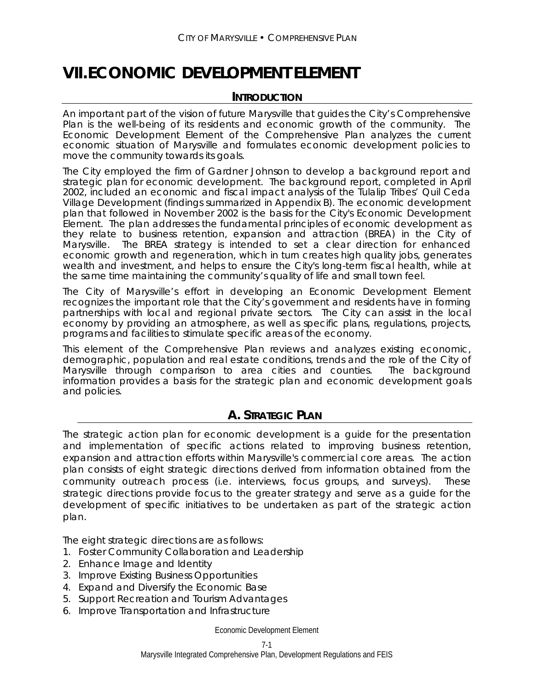# **VII. ECONOMIC DEVELOPMENT ELEMENT**

### **INTRODUCTION**

An important part of the vision of future Marysville that guides the City's Comprehensive Plan is the well-being of its residents and economic growth of the community. The Economic Development Element of the Comprehensive Plan analyzes the current economic situation of Marysville and formulates economic development policies to move the community towards its goals.

The City employed the firm of Gardner Johnson to develop a background report and strategic plan for economic development. The background report, completed in April 2002, included an economic and fiscal impact analysis of the Tulalip Tribes' Quil Ceda Village Development (findings summarized in Appendix B). The economic development plan that followed in November 2002 is the basis for the City's Economic Development Element. The plan addresses the fundamental principles of economic development as they relate to business retention, expansion and attraction (BREA) in the City of Marysville. The BREA strategy is intended to set a clear direction for enhanced economic growth and regeneration, which in turn creates high quality jobs, generates wealth and investment, and helps to ensure the City's long-term fiscal health, while at the same time maintaining the community's quality of life and small town feel.

The City of Marysville's effort in developing an Economic Development Element recognizes the important role that the City's government and residents have in forming partnerships with local and regional private sectors. The City can assist in the local economy by providing an atmosphere, as well as specific plans, regulations, projects, programs and facilities to stimulate specific areas of the economy.

This element of the Comprehensive Plan reviews and analyzes existing economic, demographic, population and real estate conditions, trends and the role of the City of Marysville through comparison to area cities and counties. The background information provides a basis for the strategic plan and economic development goals and policies.

### **A. STRATEGIC PLAN**

The strategic action plan for economic development is a guide for the presentation and implementation of specific actions related to improving business retention, expansion and attraction efforts within Marysville's commercial core areas. The action plan consists of eight strategic directions derived from information obtained from the community outreach process (i.e. interviews, focus groups, and surveys). These strategic directions provide focus to the greater strategy and serve as a guide for the development of specific initiatives to be undertaken as part of the strategic action plan.

The eight strategic directions are as follows:

- 1. Foster Community Collaboration and Leadership
- 2. Enhance Image and Identity
- 3. Improve Existing Business Opportunities
- 4. Expand and Diversify the Economic Base
- 5. Support Recreation and Tourism Advantages
- 6. Improve Transportation and Infrastructure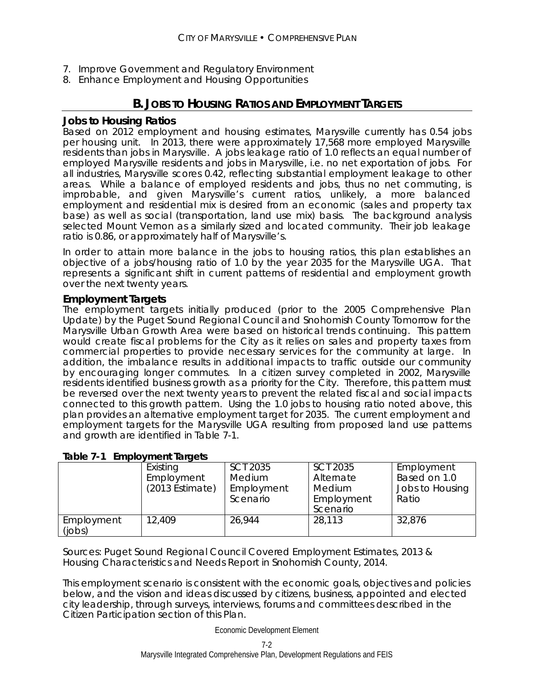- 7. Improve Government and Regulatory Environment
- 8. Enhance Employment and Housing Opportunities

# **B. JOBS TO HOUSING RATIOS AND EMPLOYMENT TARGETS**

### **Jobs to Housing Ratios**

Based on 2012 employment and housing estimates, Marysville currently has 0.54 jobs per housing unit. In 2013, there were approximately 17,568 more employed Marysville residents than jobs in Marysville. A jobs leakage ratio of 1.0 reflects an equal number of employed Marysville residents and jobs in Marysville, i.e. no net exportation of jobs. For all industries, Marysville scores 0.42, reflecting substantial employment leakage to other areas. While a balance of employed residents and jobs, thus no net commuting, is improbable, and given Marysville's current ratios, unlikely, a more balanced employment and residential mix is desired from an economic (sales and property tax base) as well as social (transportation, land use mix) basis. The background analysis selected Mount Vernon as a similarly sized and located community. Their job leakage ratio is 0.86, or approximately half of Marysville's.

In order to attain more balance in the jobs to housing ratios, this plan establishes an objective of a jobs/housing ratio of 1.0 by the year 2035 for the Marysville UGA. That represents a significant shift in current patterns of residential and employment growth over the next twenty years.

### **Employment Targets**

The employment targets initially produced (prior to the 2005 Comprehensive Plan Update) by the Puget Sound Regional Council and Snohomish County Tomorrow for the Marysville Urban Growth Area were based on historical trends continuing. This pattern would create fiscal problems for the City as it relies on sales and property taxes from commercial properties to provide necessary services for the community at large. In addition, the imbalance results in additional impacts to traffic outside our community by encouraging longer commutes. In a citizen survey completed in 2002, Marysville residents identified business growth as a priority for the City. Therefore, this pattern must be reversed over the next twenty years to prevent the related fiscal and social impacts connected to this growth pattern. Using the 1.0 jobs to housing ratio noted above, this plan provides an alternative employment target for 2035. The current employment and employment targets for the Marysville UGA resulting from proposed land use patterns and growth are identified in Table 7-1.

### **Table 7-1 Employment Targets**

|            | Existing           | <b>SCT 2035</b> | SCT 2035   | Employment      |
|------------|--------------------|-----------------|------------|-----------------|
|            | Employment         | Medium          | Alternate  | Based on 1.0    |
|            | $(2013)$ Estimate) | Employment      | Medium     | Jobs to Housing |
|            |                    | Scenario        | Employment | Ratio           |
|            |                    |                 | Scenario   |                 |
| Employment | 12,409             | 26,944          | 28,113     | 32,876          |
| (iobs)     |                    |                 |            |                 |

Sources: Puget Sound Regional Council Covered Employment Estimates, 2013 & Housing Characteristics and Needs Report in Snohomish County, 2014.

This employment scenario is consistent with the economic goals, objectives and policies below, and the vision and ideas discussed by citizens, business, appointed and elected city leadership, through surveys, interviews, forums and committees described in the Citizen Participation section of this Plan.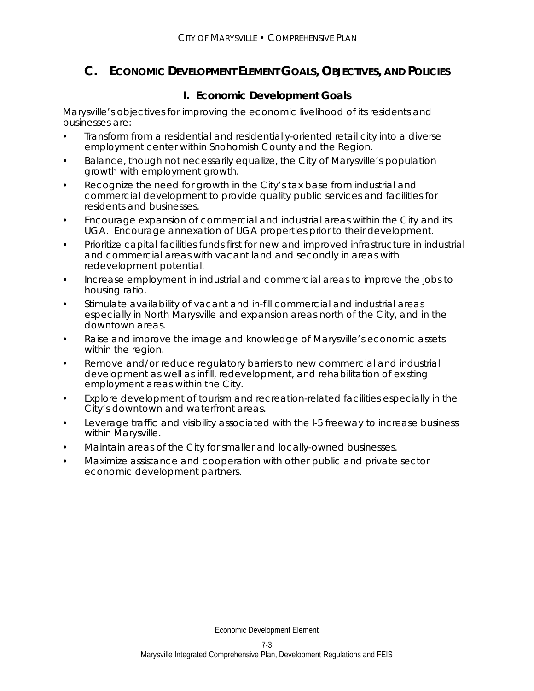# **C. ECONOMIC DEVELOPMENT ELEMENT GOALS, OBJECTIVES, AND POLICIES**

### **I. Economic Development Goals**

Marysville's objectives for improving the economic livelihood of its residents and businesses are:

- Transform from a residential and residentially-oriented retail city into a diverse employment center within Snohomish County and the Region.
- Balance, though not necessarily equalize, the City of Marysville's population growth with employment growth.
- Recognize the need for growth in the City's tax base from industrial and commercial development to provide quality public services and facilities for residents and businesses.
- Encourage expansion of commercial and industrial areas within the City and its UGA. Encourage annexation of UGA properties prior to their development.
- Prioritize capital facilities funds first for new and improved infrastructure in industrial and commercial areas with vacant land and secondly in areas with redevelopment potential.
- Increase employment in industrial and commercial areas to improve the jobs to housing ratio.
- Stimulate availability of vacant and in-fill commercial and industrial areas especially in North Marysville and expansion areas north of the City, and in the downtown areas.
- Raise and improve the image and knowledge of Marysville's economic assets within the region.
- Remove and/or reduce regulatory barriers to new commercial and industrial development as well as infill, redevelopment, and rehabilitation of existing employment areas within the City.
- Explore development of tourism and recreation-related facilities especially in the City's downtown and waterfront areas.
- Leverage traffic and visibility associated with the I-5 freeway to increase business within Marysville.
- Maintain areas of the City for smaller and locally-owned businesses.
- Maximize assistance and cooperation with other public and private sector economic development partners.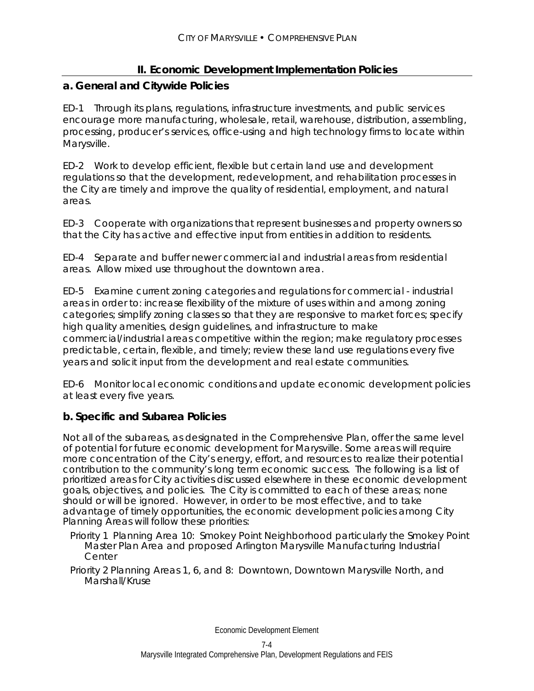### **II. Economic Development Implementation Policies**

### **a. General and Citywide Policies**

ED-1 Through its plans, regulations, infrastructure investments, and public services encourage more manufacturing, wholesale, retail, warehouse, distribution, assembling, processing, producer's services, office-using and high technology firms to locate within Marysville.

ED-2 Work to develop efficient, flexible but certain land use and development regulations so that the development, redevelopment, and rehabilitation processes in the City are timely and improve the quality of residential, employment, and natural areas.

ED-3 Cooperate with organizations that represent businesses and property owners so that the City has active and effective input from entities in addition to residents.

ED-4 Separate and buffer newer commercial and industrial areas from residential areas. Allow mixed use throughout the downtown area.

ED-5 Examine current zoning categories and regulations for commercial - industrial areas in order to: increase flexibility of the mixture of uses within and among zoning categories; simplify zoning classes so that they are responsive to market forces; specify high quality amenities, design guidelines, and infrastructure to make commercial/industrial areas competitive within the region; make regulatory processes predictable, certain, flexible, and timely; review these land use regulations every five years and solicit input from the development and real estate communities.

ED-6 Monitor local economic conditions and update economic development policies at least every five years.

### **b. Specific and Subarea Policies**

Not all of the subareas, as designated in the Comprehensive Plan, offer the same level of potential for future economic development for Marysville. Some areas will require more concentration of the City's energy, effort, and resources to realize their potential contribution to the community's long term economic success. The following is a list of prioritized areas for City activities discussed elsewhere in these economic development goals, objectives, and policies. The City is committed to each of these areas; none should or will be ignored. However, in order to be most effective, and to take advantage of timely opportunities, the economic development policies among City Planning Areas will follow these priorities:

- Priority 1 Planning Area 10: Smokey Point Neighborhood particularly the Smokey Point Master Plan Area and proposed Arlington Marysville Manufacturing Industrial **Center**
- Priority 2 Planning Areas 1, 6, and 8: Downtown, Downtown Marysville North, and Marshall/Kruse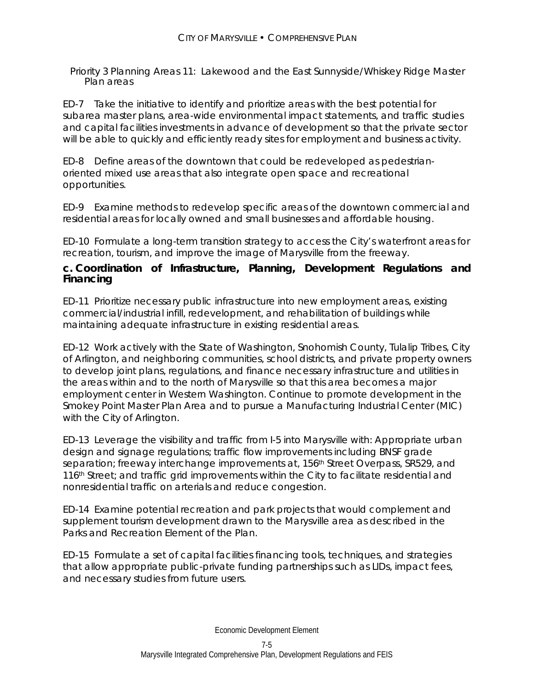Priority 3 Planning Areas 11: Lakewood and the East Sunnyside/Whiskey Ridge Master Plan areas

ED-7 Take the initiative to identify and prioritize areas with the best potential for subarea master plans, area-wide environmental impact statements, and traffic studies and capital facilities investments in advance of development so that the private sector will be able to quickly and efficiently ready sites for employment and business activity.

ED-8 Define areas of the downtown that could be redeveloped as pedestrianoriented mixed use areas that also integrate open space and recreational opportunities.

ED-9 Examine methods to redevelop specific areas of the downtown commercial and residential areas for locally owned and small businesses and affordable housing.

ED-10 Formulate a long-term transition strategy to access the City's waterfront areas for recreation, tourism, and improve the image of Marysville from the freeway.

### **c. Coordination of Infrastructure, Planning, Development Regulations and Financing**

ED-11 Prioritize necessary public infrastructure into new employment areas, existing commercial/industrial infill, redevelopment, and rehabilitation of buildings while maintaining adequate infrastructure in existing residential areas.

ED-12 Work actively with the State of Washington, Snohomish County, Tulalip Tribes, City of Arlington, and neighboring communities, school districts, and private property owners to develop joint plans, regulations, and finance necessary infrastructure and utilities in the areas within and to the north of Marysville so that this area becomes a major employment center in Western Washington. Continue to promote development in the Smokey Point Master Plan Area and to pursue a Manufacturing Industrial Center (MIC) with the City of Arlington.

ED-13 Leverage the visibility and traffic from I-5 into Marysville with: Appropriate urban design and signage regulations; traffic flow improvements including BNSF grade separation; freeway interchange improvements at, 156<sup>th</sup> Street Overpass, SR529, and 116<sup>th</sup> Street; and traffic grid improvements within the City to facilitate residential and nonresidential traffic on arterials and reduce congestion.

ED-14 Examine potential recreation and park projects that would complement and supplement tourism development drawn to the Marysville area as described in the Parks and Recreation Element of the Plan.

ED-15 Formulate a set of capital facilities financing tools, techniques, and strategies that allow appropriate public-private funding partnerships such as LIDs, impact fees, and necessary studies from future users.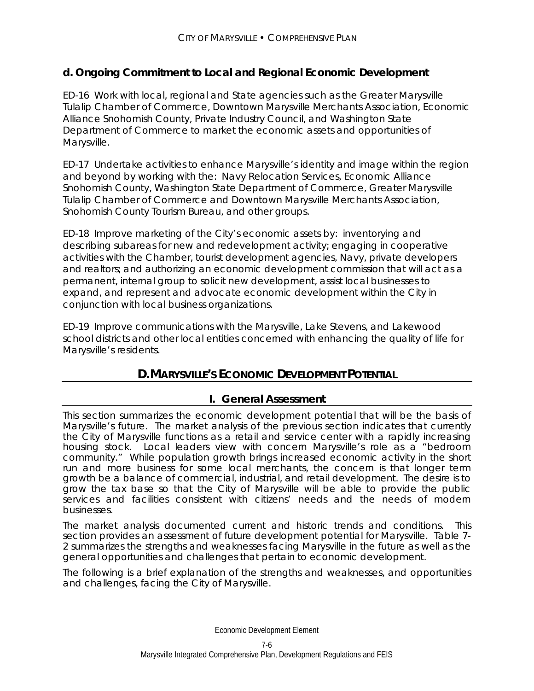# **d. Ongoing Commitment to Local and Regional Economic Development**

ED-16 Work with local, regional and State agencies such as the Greater Marysville Tulalip Chamber of Commerce, Downtown Marysville Merchants Association, Economic Alliance Snohomish County, Private Industry Council, and Washington State Department of Commerce to market the economic assets and opportunities of Marysville.

ED-17 Undertake activities to enhance Marysville's identity and image within the region and beyond by working with the: Navy Relocation Services, Economic Alliance Snohomish County, Washington State Department of Commerce, Greater Marysville Tulalip Chamber of Commerce and Downtown Marysville Merchants Association, Snohomish County Tourism Bureau, and other groups.

ED-18 Improve marketing of the City's economic assets by: inventorying and describing subareas for new and redevelopment activity; engaging in cooperative activities with the Chamber, tourist development agencies, Navy, private developers and realtors; and authorizing an economic development commission that will act as a permanent, internal group to solicit new development, assist local businesses to expand, and represent and advocate economic development within the City in conjunction with local business organizations.

ED-19 Improve communications with the Marysville, Lake Stevens, and Lakewood school districts and other local entities concerned with enhancing the quality of life for Marysville's residents.

# **D. MARYSVILLE'S ECONOMIC DEVELOPMENT POTENTIAL**

### **I. General Assessment**

This section summarizes the economic development potential that will be the basis of Marysville's future. The market analysis of the previous section indicates that currently the City of Marysville functions as a retail and service center with a rapidly increasing housing stock. Local leaders view with concern Marysville's role as a "bedroom community." While population growth brings increased economic activity in the short run and more business for some local merchants, the concern is that longer term growth be a balance of commercial, industrial, and retail development. The desire is to grow the tax base so that the City of Marysville will be able to provide the public services and facilities consistent with citizens' needs and the needs of modern businesses.

The market analysis documented current and historic trends and conditions. This section provides an assessment of future development potential for Marysville. Table 7- 2 summarizes the strengths and weaknesses facing Marysville in the future as well as the general opportunities and challenges that pertain to economic development.

The following is a brief explanation of the strengths and weaknesses, and opportunities and challenges, facing the City of Marysville.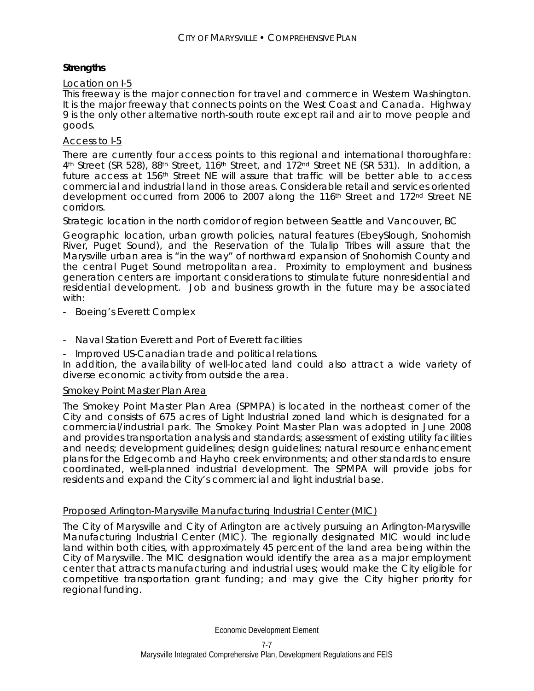### **Strengths**

### Location on I-5

This freeway is the major connection for travel and commerce in Western Washington. It is the major freeway that connects points on the West Coast and Canada. Highway 9 is the only other alternative north-south route except rail and air to move people and goods.

### Access to I-5

There are currently four access points to this regional and international thoroughfare: 4<sup>th</sup> Street (SR 528), 88<sup>th</sup> Street, 116<sup>th</sup> Street, and 172<sup>nd</sup> Street NE (SR 531). In addition, a future access at 156<sup>th</sup> Street NE will assure that traffic will be better able to access commercial and industrial land in those areas. Considerable retail and services oriented development occurred from 2006 to 2007 along the 116<sup>th</sup> Street and 172<sup>nd</sup> Street NE corridors.

### Strategic location in the north corridor of region between Seattle and Vancouver, BC

Geographic location, urban growth policies, natural features (EbeySlough, Snohomish River, Puget Sound), and the Reservation of the Tulalip Tribes will assure that the Marysville urban area is "in the way" of northward expansion of Snohomish County and the central Puget Sound metropolitan area. Proximity to employment and business generation centers are important considerations to stimulate future nonresidential and residential development. Job and business growth in the future may be associated with:

- Boeing's Everett Complex
- Naval Station Everett and Port of Everett facilities
- Improved US-Canadian trade and political relations.

In addition, the availability of well-located land could also attract a wide variety of diverse economic activity from outside the area.

### Smokey Point Master Plan Area

The Smokey Point Master Plan Area (SPMPA) is located in the northeast corner of the City and consists of 675 acres of Light Industrial zoned land which is designated for a commercial/industrial park. The Smokey Point Master Plan was adopted in June 2008 and provides transportation analysis and standards; assessment of existing utility facilities and needs; development guidelines; design guidelines; natural resource enhancement plans for the Edgecomb and Hayho creek environments; and other standards to ensure coordinated, well-planned industrial development. The SPMPA will provide jobs for residents and expand the City's commercial and light industrial base.

### Proposed Arlington-Marysville Manufacturing Industrial Center (MIC)

The City of Marysville and City of Arlington are actively pursuing an Arlington-Marysville Manufacturing Industrial Center (MIC). The regionally designated MIC would include land within both cities, with approximately 45 percent of the land area being within the City of Marysville. The MIC designation would identify the area as a major employment center that attracts manufacturing and industrial uses; would make the City eligible for competitive transportation grant funding; and may give the City higher priority for regional funding.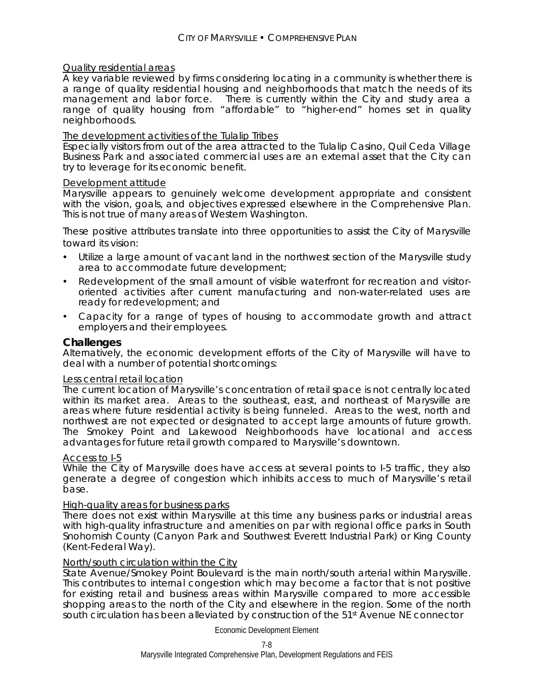### Quality residential areas

A key variable reviewed by firms considering locating in a community is whether there is a range of quality residential housing and neighborhoods that match the needs of its management and labor force. There is currently within the City and study area a range of quality housing from "affordable" to "higher-end" homes set in quality neighborhoods.

### The development activities of the Tulalip Tribes

Especially visitors from out of the area attracted to the Tulalip Casino, Quil Ceda Village Business Park and associated commercial uses are an external asset that the City can try to leverage for its economic benefit.

#### Development attitude

Marysville appears to genuinely welcome development appropriate and consistent with the vision, goals, and objectives expressed elsewhere in the Comprehensive Plan. This is not true of many areas of Western Washington.

These positive attributes translate into three opportunities to assist the City of Marysville toward its vision:

- Utilize a large amount of vacant land in the northwest section of the Marysville study area to accommodate future development;
- Redevelopment of the small amount of visible waterfront for recreation and visitororiented activities after current manufacturing and non-water-related uses are ready for redevelopment; and
- Capacity for a range of types of housing to accommodate growth and attract employers and their employees.

### **Challenges**

Alternatively, the economic development efforts of the City of Marysville will have to deal with a number of potential shortcomings:

#### Less central retail location

The current location of Marysville's concentration of retail space is not centrally located within its market area. Areas to the southeast, east, and northeast of Marysville are areas where future residential activity is being funneled. Areas to the west, north and northwest are not expected or designated to accept large amounts of future growth. The Smokey Point and Lakewood Neighborhoods have locational and access advantages for future retail growth compared to Marysville's downtown.

### Access to I-5

While the City of Marysville does have access at several points to I-5 traffic, they also generate a degree of congestion which inhibits access to much of Marysville's retail base.

### High-quality areas for business parks

There does not exist within Marysville at this time any business parks or industrial areas with high-quality infrastructure and amenities on par with regional office parks in South Snohomish County (Canyon Park and Southwest Everett Industrial Park) or King County (Kent-Federal Way).

### North/south circulation within the City

State Avenue/Smokey Point Boulevard is the main north/south arterial within Marysville. This contributes to internal congestion which may become a factor that is not positive for existing retail and business areas within Marysville compared to more accessible shopping areas to the north of the City and elsewhere in the region. Some of the north south circulation has been alleviated by construction of the 51<sup>st</sup> Avenue NE connector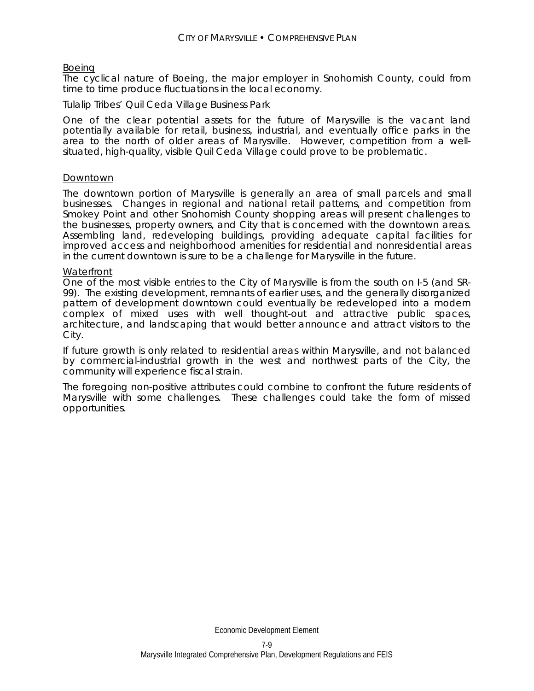### Boeing

The cyclical nature of Boeing, the major employer in Snohomish County, could from time to time produce fluctuations in the local economy.

### Tulalip Tribes' Quil Ceda Village Business Park

One of the clear potential assets for the future of Marysville is the vacant land potentially available for retail, business, industrial, and eventually office parks in the area to the north of older areas of Marysville. However, competition from a wellsituated, high-quality, visible Quil Ceda Village could prove to be problematic.

#### Downtown

The downtown portion of Marysville is generally an area of small parcels and small businesses. Changes in regional and national retail patterns, and competition from Smokey Point and other Snohomish County shopping areas will present challenges to the businesses, property owners, and City that is concerned with the downtown areas. Assembling land, redeveloping buildings, providing adequate capital facilities for improved access and neighborhood amenities for residential and nonresidential areas in the current downtown is sure to be a challenge for Marysville in the future.

#### **Waterfront**

One of the most visible entries to the City of Marysville is from the south on I-5 (and SR-99). The existing development, remnants of earlier uses, and the generally disorganized pattern of development downtown could eventually be redeveloped into a modern complex of mixed uses with well thought-out and attractive public spaces, architecture, and landscaping that would better announce and attract visitors to the City.

If future growth is only related to residential areas within Marysville, and not balanced by commercial-industrial growth in the west and northwest parts of the City, the community will experience fiscal strain.

The foregoing non-positive attributes could combine to confront the future residents of Marysville with some challenges. These challenges could take the form of missed opportunities.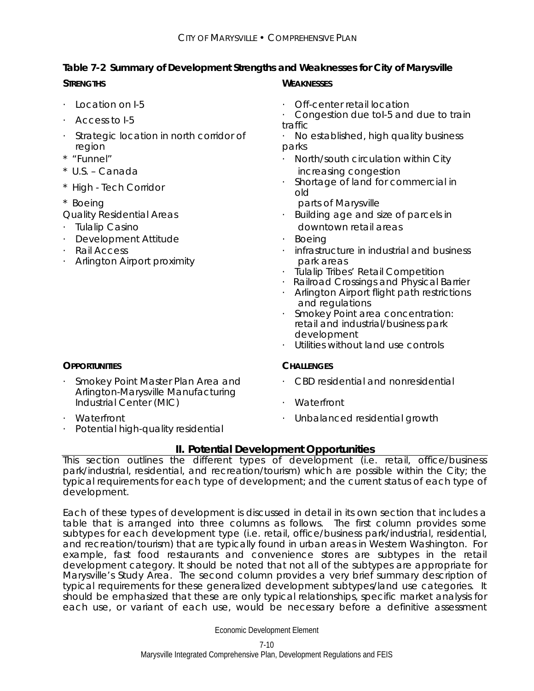# **Table 7-2 Summary of Development Strengths and Weaknesses for City of Marysville**

- 
- 
- · Strategic location in north corridor of region
- 
- 
- 
- 
- 
- 
- · Development Attitude · **Boeing**
- 
- Arlington Airport proximity **park** areas

# **STRENGTHS WEAKNESSES**

- · Location on I-5 · Off-center retail location
	- Access to I-5 **be a constant of the Congestion due tol-5 and due to train** traffic
		- · No established, high quality business parks
- \* "Funnel" **· Communist Communist Communist Communist Communist Communist Communist Communist Communist Communist Communist Communist Communist Person in Monday Communist Communist Person in Monday Communist Person in Mond** \* U.S. – Canada increasing congestion
- \* High Tech Corridor **· Shortage of land for commercial in** old
- \* Boeing parts of Marysville
- Quality Residential Areas **building** age and size of parcels in · Tulalip Casino downtown retail areas
	-
- · Rail Access · infrastructure in industrial and business
	- · Tulalip Tribes' Retail Competition
	- · Railroad Crossings and Physical Barrier
	- · Arlington Airport flight path restrictions and regulations
	- · Smokey Point area concentration: retail and industrial/business park development
	- · Utilities without land use controls

- · CBD residential and nonresidential
- · Waterfront
- Waterfront **Waterfront CONFIDENTIAL CONFIDENTIAL CONFIDENTIAL CONFIDENTIAL CONFIDENTIAL CONFIDENTIAL CONFIDENTIAL CONFIDENTIAL CONFIDENTIAL CONFIDENTIAL CONFIDENTIAL CONFIDENTIAL CONFIDENTIAL CONFIDENTIAL CONFIDENTIAL CO**

# Industrial Center (MIC)

- 
- Potential high-quality residential

· Smokey Point Master Plan Area and Arlington-Marysville Manufacturing

**II. Potential Development Opportunities** 

This section outlines the different types of development (i.e. retail, office/business park/industrial, residential, and recreation/tourism) which are possible within the City; the typical requirements for each type of development; and the current status of each type of development.

Each of these types of development is discussed in detail in its own section that includes a table that is arranged into three columns as follows. The first column provides some subtypes for each development type (i.e. retail, office/business park/industrial, residential, and recreation/tourism) that are typically found in urban areas in Western Washington. For example, fast food restaurants and convenience stores are subtypes in the retail development category. It should be noted that not all of the subtypes are appropriate for Marysville's Study Area. The second column provides a very brief summary description of typical requirements for these generalized development subtypes/land use categories. It should be emphasized that these are only typical relationships, specific market analysis for each use, or variant of each use, would be necessary before a definitive assessment

# **OPPORTUNITIES CHALLENGES**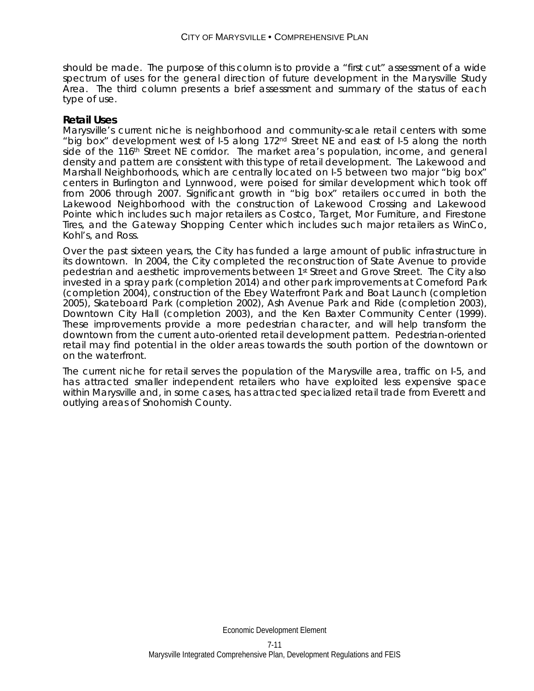should be made. The purpose of this column is to provide a "first cut" assessment of a wide spectrum of uses for the general direction of future development in the Marysville Study Area. The third column presents a brief assessment and summary of the status of each type of use.

### **Retail Uses**

Marysville's current niche is neighborhood and community-scale retail centers with some "big box" development west of I-5 along 172nd Street NE and east of I-5 along the north side of the 116<sup>th</sup> Street NE corridor. The market area's population, income, and general density and pattern are consistent with this type of retail development. The Lakewood and Marshall Neighborhoods, which are centrally located on I-5 between two major "big box" centers in Burlington and Lynnwood, were poised for similar development which took off from 2006 through 2007. Significant growth in "big box" retailers occurred in both the Lakewood Neighborhood with the construction of Lakewood Crossing and Lakewood Pointe which includes such major retailers as Costco, Target, Mor Furniture, and Firestone Tires, and the Gateway Shopping Center which includes such major retailers as WinCo, Kohl's, and Ross.

Over the past sixteen years, the City has funded a large amount of public infrastructure in its downtown. In 2004, the City completed the reconstruction of State Avenue to provide pedestrian and aesthetic improvements between 1st Street and Grove Street. The City also invested in a spray park (completion 2014) and other park improvements at Comeford Park (completion 2004), construction of the Ebey Waterfront Park and Boat Launch (completion 2005), Skateboard Park (completion 2002), Ash Avenue Park and Ride (completion 2003), Downtown City Hall (completion 2003), and the Ken Baxter Community Center (1999). These improvements provide a more pedestrian character, and will help transform the downtown from the current auto-oriented retail development pattern. Pedestrian-oriented retail may find potential in the older areas towards the south portion of the downtown or on the waterfront.

The current niche for retail serves the population of the Marysville area, traffic on I-5, and has attracted smaller independent retailers who have exploited less expensive space within Marysville and, in some cases, has attracted specialized retail trade from Everett and outlying areas of Snohomish County.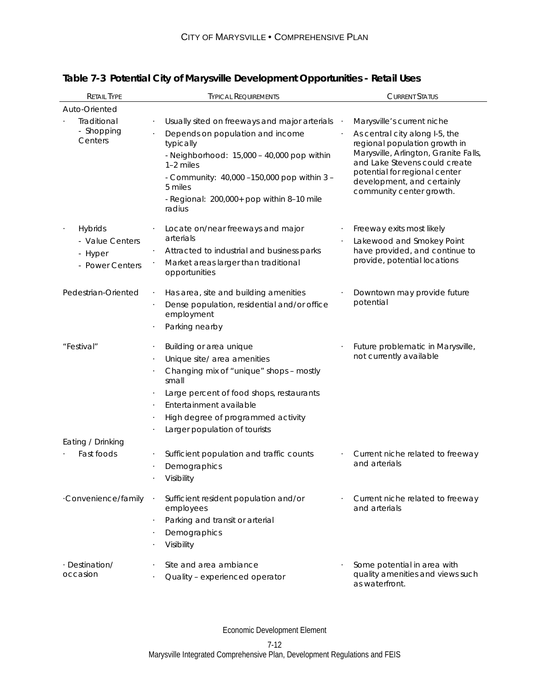| <b>RETAIL TYPE</b>                                              | <b>TYPICAL REQUIREMENTS</b>                                                                                                                                                                                                                                                                                       | <b>CURRENT STATUS</b>                                                                                                                                                                                                                                              |
|-----------------------------------------------------------------|-------------------------------------------------------------------------------------------------------------------------------------------------------------------------------------------------------------------------------------------------------------------------------------------------------------------|--------------------------------------------------------------------------------------------------------------------------------------------------------------------------------------------------------------------------------------------------------------------|
| Auto-Oriented                                                   |                                                                                                                                                                                                                                                                                                                   |                                                                                                                                                                                                                                                                    |
| Traditional<br>- Shopping<br>Centers                            | Usually sited on freeways and major arterials<br>Depends on population and income<br>typically<br>- Neighborhood: 15,000 - 40,000 pop within<br>$1-2$ miles<br>- Community: 40,000 -150,000 pop within 3 -<br>5 miles<br>- Regional: 200,000+ pop within 8-10 mile<br>radius                                      | Marysville's current niche<br>As central city along I-5, the<br>regional population growth in<br>Marysville, Arlington, Granite Falls,<br>and Lake Stevens could create<br>potential for regional center<br>development, and certainly<br>community center growth. |
| <b>Hybrids</b><br>- Value Centers<br>- Hyper<br>- Power Centers | Locate on/near freeways and major<br>arterials<br>Attracted to industrial and business parks<br>Market areas larger than traditional<br>opportunities                                                                                                                                                             | Freeway exits most likely<br>Lakewood and Smokey Point<br>have provided, and continue to<br>provide, potential locations                                                                                                                                           |
| Pedestrian-Oriented                                             | Has area, site and building amenities<br>Dense population, residential and/or office<br>employment<br>Parking nearby                                                                                                                                                                                              | Downtown may provide future<br>potential                                                                                                                                                                                                                           |
| "Festival"                                                      | Building or area unique<br>$\cdot$<br>Unique site/ area amenities<br>$\cdot$<br>Changing mix of "unique" shops - mostly<br>small<br>Large percent of food shops, restaurants<br>$\bullet$<br>Entertainment available<br>$\cdot$<br>High degree of programmed activity<br>$\cdot$<br>Larger population of tourists | Future problematic in Marysville,<br>not currently available                                                                                                                                                                                                       |
| Eating / Drinking<br>Fast foods                                 | Sufficient population and traffic counts<br>Demographics<br>Visibility                                                                                                                                                                                                                                            | Current niche related to freeway<br>and arterials                                                                                                                                                                                                                  |
| ·Convenience/family                                             | Sufficient resident population and/or<br>$\ddot{\phantom{1}}$<br>employees<br>Parking and transit or arterial<br>$\cdot$<br>Demographics<br>Visibility                                                                                                                                                            | Current niche related to freeway<br>and arterials                                                                                                                                                                                                                  |
| · Destination/<br>occasion                                      | Site and area ambiance<br>Quality - experienced operator                                                                                                                                                                                                                                                          | Some potential in area with<br>quality amenities and views such<br>as waterfront.                                                                                                                                                                                  |

# **Table 7-3 Potential City of Marysville Development Opportunities - Retail Uses**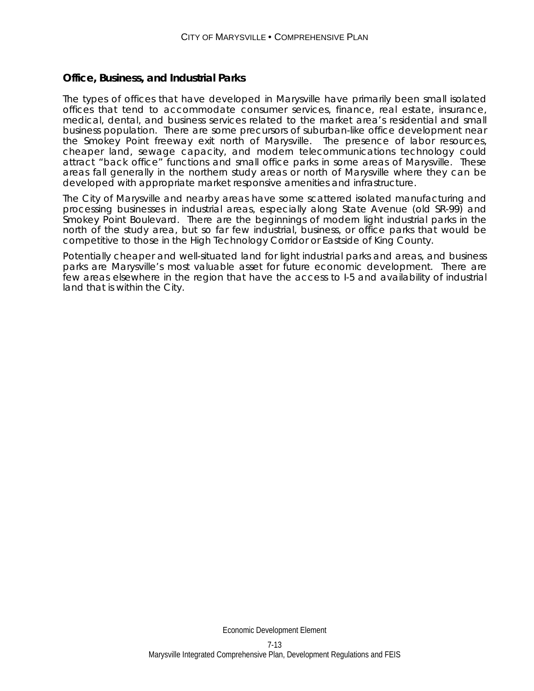### **Office, Business, and Industrial Parks**

The types of offices that have developed in Marysville have primarily been small isolated offices that tend to accommodate consumer services, finance, real estate, insurance, medical, dental, and business services related to the market area's residential and small business population. There are some precursors of suburban-like office development near the Smokey Point freeway exit north of Marysville. The presence of labor resources, cheaper land, sewage capacity, and modern telecommunications technology could attract "back office" functions and small office parks in some areas of Marysville. These areas fall generally in the northern study areas or north of Marysville where they can be developed with appropriate market responsive amenities and infrastructure.

The City of Marysville and nearby areas have some scattered isolated manufacturing and processing businesses in industrial areas, especially along State Avenue (old SR-99) and Smokey Point Boulevard. There are the beginnings of modern light industrial parks in the north of the study area, but so far few industrial, business, or office parks that would be competitive to those in the High Technology Corridor or Eastside of King County.

Potentially cheaper and well-situated land for light industrial parks and areas, and business parks are Marysville's most valuable asset for future economic development. There are few areas elsewhere in the region that have the access to I-5 and availability of industrial land that is within the City.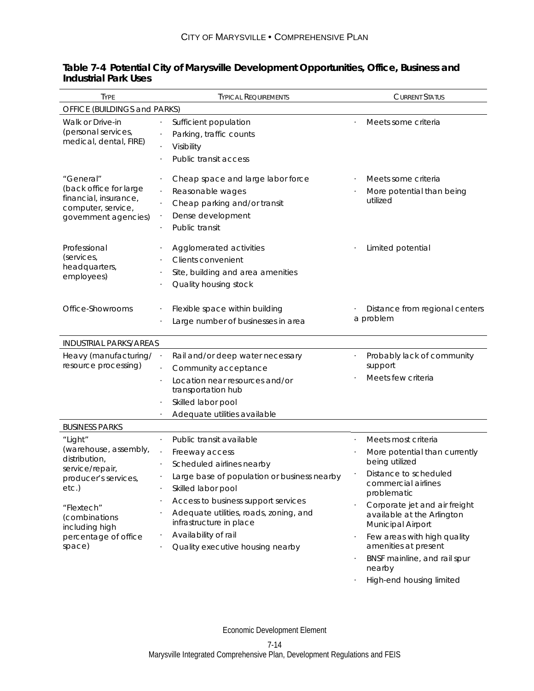| <b>TYPE</b>                                                                                                                          | <b>TYPICAL REQUIREMENTS</b>                                                                                                                                                                                                                              | <b>CURRENT STATUS</b>                                                                                                                                                                                |  |  |  |  |  |
|--------------------------------------------------------------------------------------------------------------------------------------|----------------------------------------------------------------------------------------------------------------------------------------------------------------------------------------------------------------------------------------------------------|------------------------------------------------------------------------------------------------------------------------------------------------------------------------------------------------------|--|--|--|--|--|
| OFFICE (BUILDINGS and PARKS)                                                                                                         |                                                                                                                                                                                                                                                          |                                                                                                                                                                                                      |  |  |  |  |  |
| Walk or Drive-in<br>(personal services,<br>medical, dental, FIRE)                                                                    | Sufficient population<br>Parking, traffic counts<br>Visibility<br>Public transit access                                                                                                                                                                  | Meets some criteria                                                                                                                                                                                  |  |  |  |  |  |
| "General"<br>(back office for large<br>financial, insurance,<br>computer, service,<br>government agencies)                           | Cheap space and large labor force<br>Reasonable wages<br>Cheap parking and/or transit<br>Dense development<br>Public transit                                                                                                                             | Meets some criteria<br>More potential than being<br>utilized                                                                                                                                         |  |  |  |  |  |
| Professional<br>(services,<br>headquarters,<br>employees)                                                                            | Agglomerated activities<br><b>Clients convenient</b><br>Site, building and area amenities<br>Quality housing stock                                                                                                                                       | Limited potential                                                                                                                                                                                    |  |  |  |  |  |
| Office-Showrooms                                                                                                                     | Flexible space within building<br>Large number of businesses in area                                                                                                                                                                                     | Distance from regional centers<br>a problem                                                                                                                                                          |  |  |  |  |  |
| <b>INDUSTRIAL PARKS/AREAS</b>                                                                                                        |                                                                                                                                                                                                                                                          |                                                                                                                                                                                                      |  |  |  |  |  |
| Heavy (manufacturing/<br>resource processing)                                                                                        | Rail and/or deep water necessary<br>Community acceptance<br>Location near resources and/or<br>transportation hub<br>Skilled labor pool<br>Adequate utilities available                                                                                   | Probably lack of community<br>support<br>Meets few criteria                                                                                                                                          |  |  |  |  |  |
| <b>BUSINESS PARKS</b>                                                                                                                |                                                                                                                                                                                                                                                          |                                                                                                                                                                                                      |  |  |  |  |  |
| "Light"<br>(warehouse, assembly,<br>distribution,<br>service/repair,<br>producer's services,<br>etc.)<br>"Flextech"<br>(combinations | Public transit available<br>Freeway access<br>Scheduled airlines nearby<br>Large base of population or business nearby<br>Skilled labor pool<br>Access to business support services<br>Adequate utilities, roads, zoning, and<br>infrastructure in place | Meets most criteria<br>More potential than currently<br>being utilized<br>Distance to scheduled<br>commercial airlines<br>problematic<br>Corporate jet and air freight<br>available at the Arlington |  |  |  |  |  |
| including high<br>percentage of office<br>space)                                                                                     | Availability of rail<br>Quality executive housing nearby                                                                                                                                                                                                 | Municipal Airport<br>Few areas with high quality<br>amenities at present<br>BNSF mainline, and rail spur<br>nearby                                                                                   |  |  |  |  |  |

### **Table 7-4 Potential City of Marysville Development Opportunities, Office, Business and Industrial Park Uses**

· High-end housing limited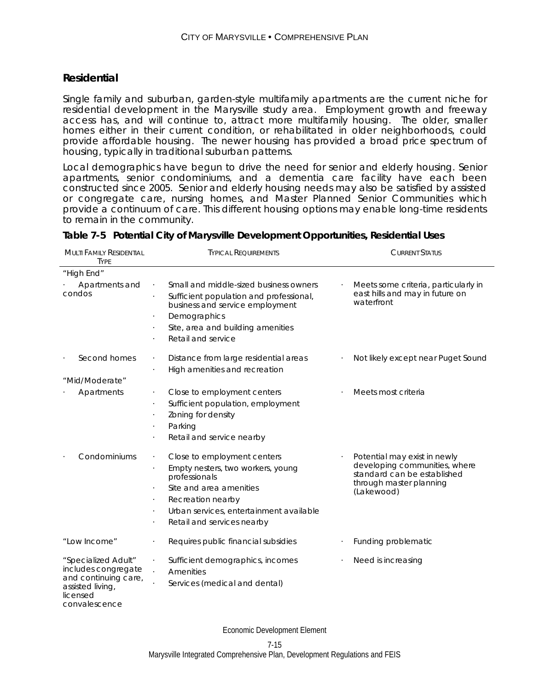### **Residential**

MULTI FAMILY RESIDENTIAL

Single family and suburban, garden-style multifamily apartments are the current niche for residential development in the Marysville study area. Employment growth and freeway access has, and will continue to, attract more multifamily housing. The older, smaller homes either in their current condition, or rehabilitated in older neighborhoods, could provide affordable housing. The newer housing has provided a broad price spectrum of housing, typically in traditional suburban patterns.

Local demographics have begun to drive the need for senior and elderly housing. Senior apartments, senior condominiums, and a dementia care facility have each been constructed since 2005. Senior and elderly housing needs may also be satisfied by assisted or congregate care, nursing homes, and Master Planned Senior Communities which provide a continuum of care. This different housing options may enable long-time residents to remain in the community.

TYPICAL REQUIREMENTS CURRENT STATUS

| <b>TYPF</b>                                                                                                         |                                                                                                                                                                                                                                                                     |                                                                                                                                       |
|---------------------------------------------------------------------------------------------------------------------|---------------------------------------------------------------------------------------------------------------------------------------------------------------------------------------------------------------------------------------------------------------------|---------------------------------------------------------------------------------------------------------------------------------------|
| "High End"                                                                                                          |                                                                                                                                                                                                                                                                     |                                                                                                                                       |
| Apartments and<br>condos                                                                                            | Small and middle-sized business owners<br>$\cdot$<br>Sufficient population and professional,<br>business and service employment<br>Demographics<br>$\bullet$<br>Site, area and building amenities<br>$\bullet$<br>Retail and service                                | Meets some criteria, particularly in<br>east hills and may in future on<br>waterfront                                                 |
| Second homes                                                                                                        | Distance from large residential areas<br>$\bullet$<br>High amenities and recreation<br>$\cdot$                                                                                                                                                                      | Not likely except near Puget Sound                                                                                                    |
| "Mid/Moderate"                                                                                                      |                                                                                                                                                                                                                                                                     |                                                                                                                                       |
| Apartments                                                                                                          | Close to employment centers<br>$\cdot$<br>Sufficient population, employment<br>$\bullet$<br>Zoning for density<br>Parking<br>$\cdot$<br>Retail and service nearby                                                                                                   | Meets most criteria                                                                                                                   |
| Condominiums                                                                                                        | Close to employment centers<br>$\cdot$<br>Empty nesters, two workers, young<br>$\ddot{\phantom{0}}$<br>professionals<br>Site and area amenities<br>Recreation nearby<br>$\cdot$<br>Urban services, entertainment available<br>$\cdot$<br>Retail and services nearby | Potential may exist in newly<br>developing communities, where<br>standard can be established<br>through master planning<br>(Lakewood) |
| "Low Income"                                                                                                        | Requires public financial subsidies<br>$\ddot{\phantom{0}}$                                                                                                                                                                                                         | Funding problematic                                                                                                                   |
| "Specialized Adult"<br>includes congregate<br>and continuing care,<br>assisted living,<br>licensed<br>convalescence | Sufficient demographics, incomes<br>$\bullet$<br>Amenities<br>$\ddot{\phantom{0}}$<br>Services (medical and dental)                                                                                                                                                 | Need is increasing                                                                                                                    |

**Table 7-5 Potential City of Marysville Development Opportunities, Residential Uses**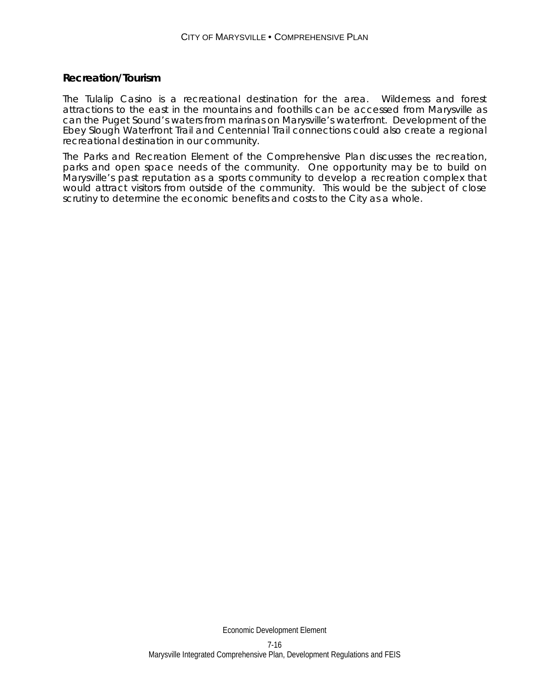### **Recreation/Tourism**

The Tulalip Casino is a recreational destination for the area. Wilderness and forest attractions to the east in the mountains and foothills can be accessed from Marysville as can the Puget Sound's waters from marinas on Marysville's waterfront. Development of the Ebey Slough Waterfront Trail and Centennial Trail connections could also create a regional recreational destination in our community.

The Parks and Recreation Element of the Comprehensive Plan discusses the recreation, parks and open space needs of the community. One opportunity may be to build on Marysville's past reputation as a sports community to develop a recreation complex that would attract visitors from outside of the community. This would be the subject of close scrutiny to determine the economic benefits and costs to the City as a whole.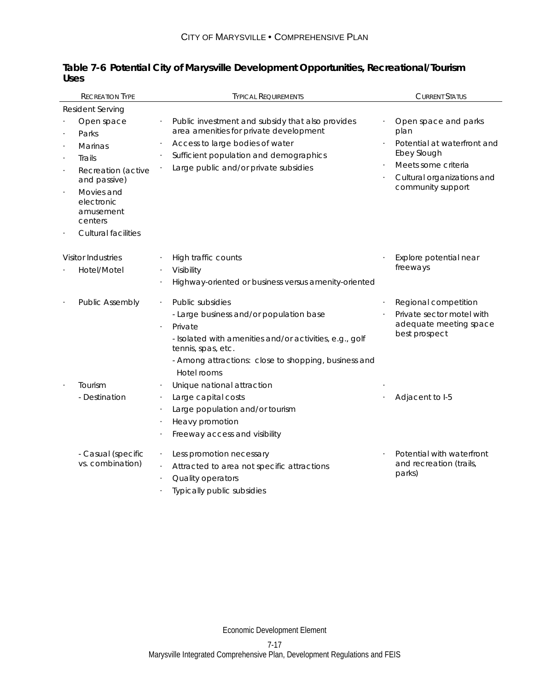| <b>RECREATION TYPE</b>                                                                                                                                                                          | <b>TYPICAL REQUIREMENTS</b>                                                                                                                                                                                                    | <b>CURRENT STATUS</b>                                                                                                                                |
|-------------------------------------------------------------------------------------------------------------------------------------------------------------------------------------------------|--------------------------------------------------------------------------------------------------------------------------------------------------------------------------------------------------------------------------------|------------------------------------------------------------------------------------------------------------------------------------------------------|
| Resident Serving                                                                                                                                                                                |                                                                                                                                                                                                                                |                                                                                                                                                      |
| Open space<br>Parks<br><b>Marinas</b><br>Trails<br>$\ddot{\phantom{0}}$<br>Recreation (active<br>and passive)<br>Movies and<br>electronic<br>amusement<br>centers<br><b>Cultural facilities</b> | Public investment and subsidy that also provides<br>area amenities for private development<br>Access to large bodies of water<br>Sufficient population and demographics<br>Large public and/or private subsidies               | Open space and parks<br>plan<br>Potential at waterfront and<br>Ebey Slough<br>Meets some criteria<br>Cultural organizations and<br>community support |
| <b>Visitor Industries</b>                                                                                                                                                                       | High traffic counts                                                                                                                                                                                                            | Explore potential near                                                                                                                               |
| Hotel/Motel                                                                                                                                                                                     | Visibility<br>Highway-oriented or business versus amenity-oriented                                                                                                                                                             | freeways                                                                                                                                             |
| <b>Public Assembly</b>                                                                                                                                                                          | Public subsidies<br>- Large business and/or population base<br>Private<br>- Isolated with amenities and/or activities, e.g., golf<br>tennis, spas, etc.<br>- Among attractions: close to shopping, business and<br>Hotel rooms | Regional competition<br>Private sector motel with<br>adequate meeting space<br>best prospect                                                         |
| Tourism<br>- Destination                                                                                                                                                                        | Unique national attraction<br>$\bullet$<br>Large capital costs<br>Large population and/or tourism<br>Heavy promotion<br>Freeway access and visibility                                                                          | Adjacent to I-5                                                                                                                                      |
| - Casual (specific<br>vs. combination)                                                                                                                                                          | Less promotion necessary<br>Attracted to area not specific attractions<br>$\ddot{\phantom{0}}$<br>Quality operators<br>Typically public subsidies                                                                              | Potential with waterfront<br>and recreation (trails,<br>parks)                                                                                       |

|      | Table 7-6 Potential City of Marysville Development Opportunities, Recreational/Tourism |  |
|------|----------------------------------------------------------------------------------------|--|
| Uses |                                                                                        |  |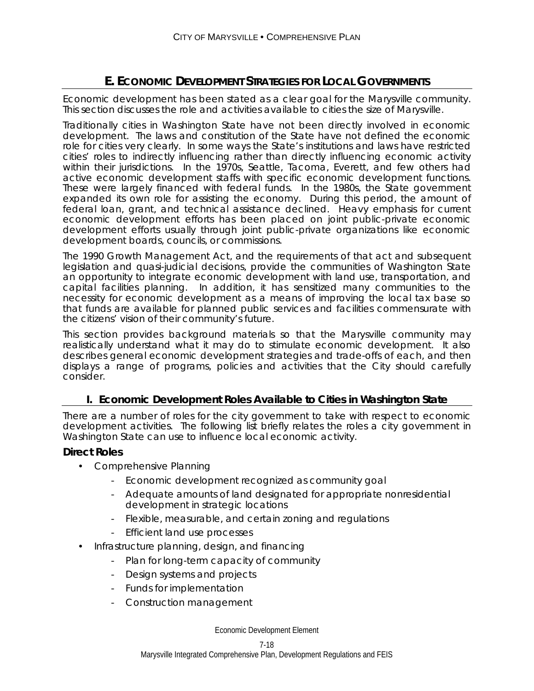# **E. ECONOMIC DEVELOPMENT STRATEGIES FOR LOCAL GOVERNMENTS**

Economic development has been stated as a clear goal for the Marysville community. This section discusses the role and activities available to cities the size of Marysville.

Traditionally cities in Washington State have not been directly involved in economic development. The laws and constitution of the State have not defined the economic role for cities very clearly. In some ways the State's institutions and laws have restricted cities' roles to indirectly influencing rather than directly influencing economic activity within their jurisdictions. In the 1970s, Seattle, Tacoma, Everett, and few others had active economic development staffs with specific economic development functions. These were largely financed with federal funds. In the 1980s, the State government expanded its own role for assisting the economy. During this period, the amount of federal loan, grant, and technical assistance declined. Heavy emphasis for current economic development efforts has been placed on joint public-private economic development efforts usually through joint public-private organizations like economic development boards, councils, or commissions.

The 1990 Growth Management Act, and the requirements of that act and subsequent legislation and quasi-judicial decisions, provide the communities of Washington State an opportunity to integrate economic development with land use, transportation, and capital facilities planning. In addition, it has sensitized many communities to the necessity for economic development as a means of improving the local tax base so that funds are available for planned public services and facilities commensurate with the citizens' vision of their community's future.

This section provides background materials so that the Marysville community may realistically understand what it may do to stimulate economic development. It also describes general economic development strategies and trade-offs of each, and then displays a range of programs, policies and activities that the City should carefully consider.

# **I. Economic Development Roles Available to Cities in Washington State**

There are a number of roles for the city government to take with respect to economic development activities. The following list briefly relates the roles a city government in Washington State can use to influence local economic activity.

### **Direct Roles**

- Comprehensive Planning
	- Economic development recognized as community goal
	- Adequate amounts of land designated for appropriate nonresidential development in strategic locations
	- Flexible, measurable, and certain zoning and regulations
	- Efficient land use processes
- Infrastructure planning, design, and financing
	- Plan for long-term capacity of community
	- Design systems and projects
	- Funds for implementation
	- Construction management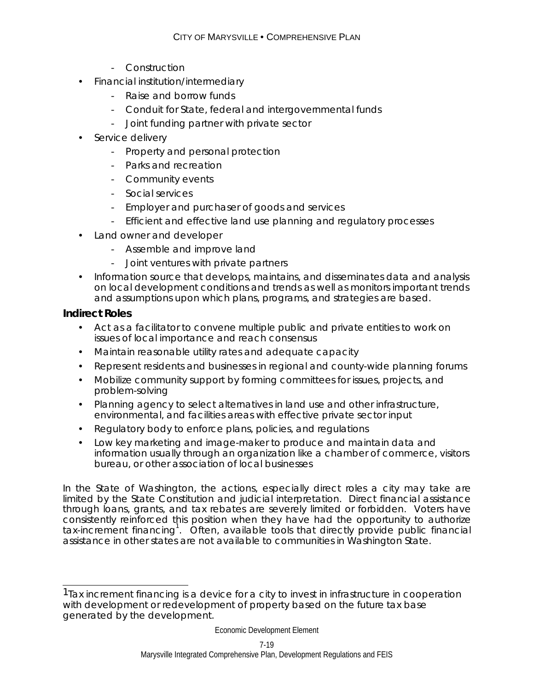- Construction
- Financial institution/intermediary
	- Raise and borrow funds
	- Conduit for State, federal and intergovernmental funds
	- Joint funding partner with private sector
- Service delivery
	- Property and personal protection
	- Parks and recreation
	- Community events
	- Social services
	- Employer and purchaser of goods and services
	- Efficient and effective land use planning and regulatory processes
- Land owner and developer
	- Assemble and improve land
	- Joint ventures with private partners
- Information source that develops, maintains, and disseminates data and analysis on local development conditions and trends as well as monitors important trends and assumptions upon which plans, programs, and strategies are based.

# **Indirect Roles**

- Act as a facilitator to convene multiple public and private entities to work on issues of local importance and reach consensus
- Maintain reasonable utility rates and adequate capacity
- Represent residents and businesses in regional and county-wide planning forums
- Mobilize community support by forming committees for issues, projects, and problem-solving
- Planning agency to select alternatives in land use and other infrastructure, environmental, and facilities areas with effective private sector input
- Regulatory body to enforce plans, policies, and regulations
- Low key marketing and image-maker to produce and maintain data and information usually through an organization like a chamber of commerce, visitors bureau, or other association of local businesses

In the State of Washington, the actions, especially direct roles a city may take are limited by the State Constitution and judicial interpretation. Direct financial assistance through loans, grants, and tax rebates are severely limited or forbidden. Voters have consistently reinforced this position when they have had the opportunity to authorize tax-increment financing<sup>1</sup>. Often, available tools that directly provide public financial assistance in other states are not available to communities in Washington State.

 $\overline{a}$ <sup>1</sup> Tax increment financing is a device for a city to invest in infrastructure in cooperation with development or redevelopment of property based on the future tax base generated by the development.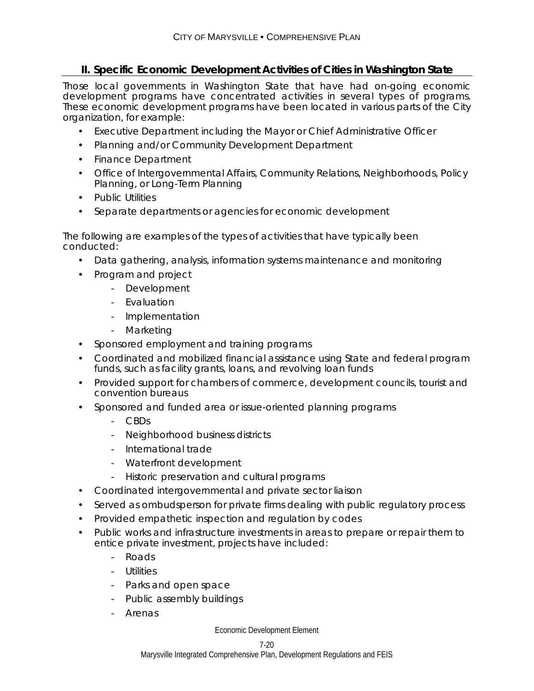# **II. Specific Economic Development Activities of Cities in Washington State**

Those local governments in Washington State that have had on-going economic development programs have concentrated activities in several types of programs. These economic development programs have been located in various parts of the City organization, for example:

- Executive Department including the Mayor or Chief Administrative Officer
- Planning and/or Community Development Department
- Finance Department
- Office of Intergovernmental Affairs, Community Relations, Neighborhoods, Policy Planning, or Long-Term Planning
- Public Utilities
- Separate departments or agencies for economic development

The following are examples of the types of activities that have typically been conducted:

- Data gathering, analysis, information systems maintenance and monitoring
- Program and project
	- Development
	- Evaluation
	- Implementation
	- Marketing
- Sponsored employment and training programs
- Coordinated and mobilized financial assistance using State and federal program funds, such as facility grants, loans, and revolving loan funds
- Provided support for chambers of commerce, development councils, tourist and convention bureaus
- Sponsored and funded area or issue-oriented planning programs
	- CBDs
	- Neighborhood business districts
	- International trade
	- Waterfront development
	- Historic preservation and cultural programs
- Coordinated intergovernmental and private sector liaison
- Served as ombudsperson for private firms dealing with public regulatory process
- Provided empathetic inspection and regulation by codes
- Public works and infrastructure investments in areas to prepare or repair them to entice private investment, projects have included:
	- Roads
	- Utilities
	- Parks and open space
	- Public assembly buildings
	- **Arenas**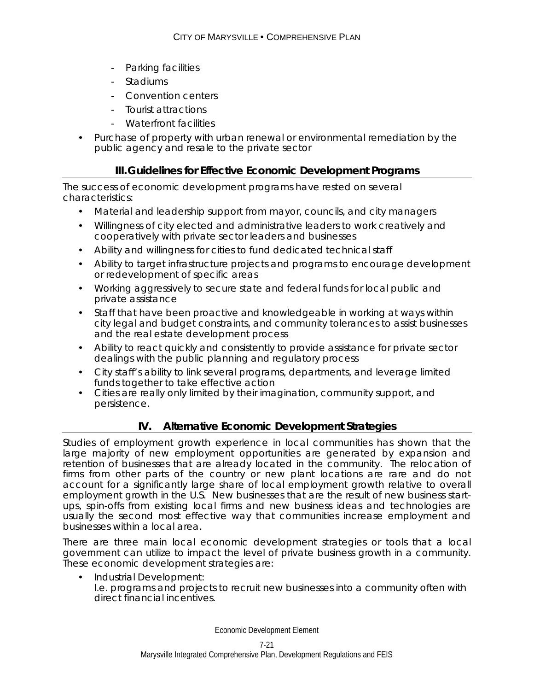- Parking facilities
- **Stadiums**
- Convention centers
- Tourist attractions
- Waterfront facilities
- Purchase of property with urban renewal or environmental remediation by the public agency and resale to the private sector

### **III. Guidelines for Effective Economic Development Programs**

The success of economic development programs have rested on several characteristics:

- Material and leadership support from mayor, councils, and city managers
- Willingness of city elected and administrative leaders to work creatively and cooperatively with private sector leaders and businesses
- Ability and willingness for cities to fund dedicated technical staff
- Ability to target infrastructure projects and programs to encourage development or redevelopment of specific areas
- Working aggressively to secure state and federal funds for local public and private assistance
- Staff that have been proactive and knowledgeable in working at ways within city legal and budget constraints, and community tolerances to assist businesses and the real estate development process
- Ability to react quickly and consistently to provide assistance for private sector dealings with the public planning and regulatory process
- City staff's ability to link several programs, departments, and leverage limited funds together to take effective action
- Cities are really only limited by their imagination, community support, and persistence.

# **IV. Alternative Economic Development Strategies**

Studies of employment growth experience in local communities has shown that the large majority of new employment opportunities are generated by expansion and retention of businesses that are already located in the community. The relocation of firms from other parts of the country or new plant locations are rare and do not account for a significantly large share of local employment growth relative to overall employment growth in the U.S. New businesses that are the result of new business startups, spin-offs from existing local firms and new business ideas and technologies are usually the second most effective way that communities increase employment and businesses within a local area.

There are three main local economic development strategies or tools that a local government can utilize to impact the level of private business growth in a community. These economic development strategies are:

• Industrial Development: I.e. programs and projects to recruit new businesses into a community often with direct financial incentives.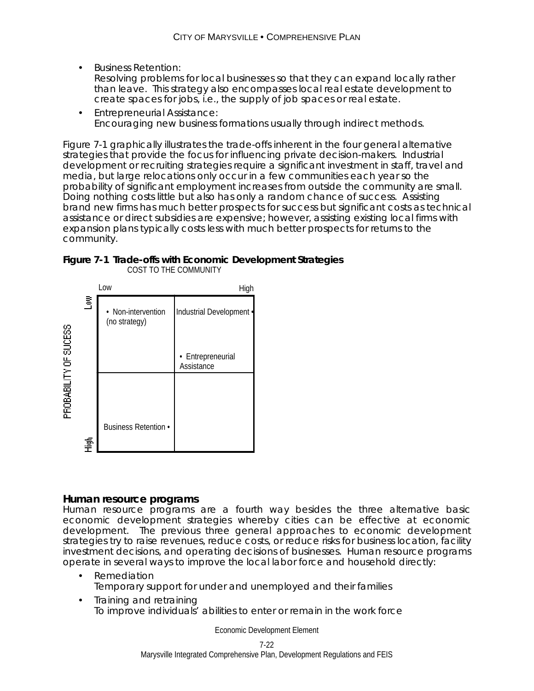- Business Retention: Resolving problems for local businesses so that they can expand locally rather than leave. This strategy also encompasses local real estate development to create spaces for jobs, i.e., the supply of job spaces or real estate.
- Entrepreneurial Assistance: Encouraging new business formations usually through indirect methods.

Figure 7-1 graphically illustrates the trade-offs inherent in the four general alternative strategies that provide the focus for influencing private decision-makers. Industrial development or recruiting strategies require a significant investment in staff, travel and media, but large relocations only occur in a few communities each year so the probability of significant employment increases from outside the community are small. Doing nothing costs little but also has only a random chance of success. Assisting brand new firms has much better prospects for success but significant costs as technical assistance or direct subsidies are expensive; however, assisting existing local firms with expansion plans typically costs less with much better prospects for returns to the community.





### **Human resource programs**

Human resource programs are a fourth way besides the three alternative basic economic development strategies whereby cities can be effective at economic development. The previous three general approaches to economic development strategies try to raise revenues, reduce costs, or reduce risks for business location, facility investment decisions, and operating decisions of businesses. Human resource programs operate in several ways to improve the local labor force and household directly:

- Remediation Temporary support for under and unemployed and their families
- Training and retraining To improve individuals' abilities to enter or remain in the work force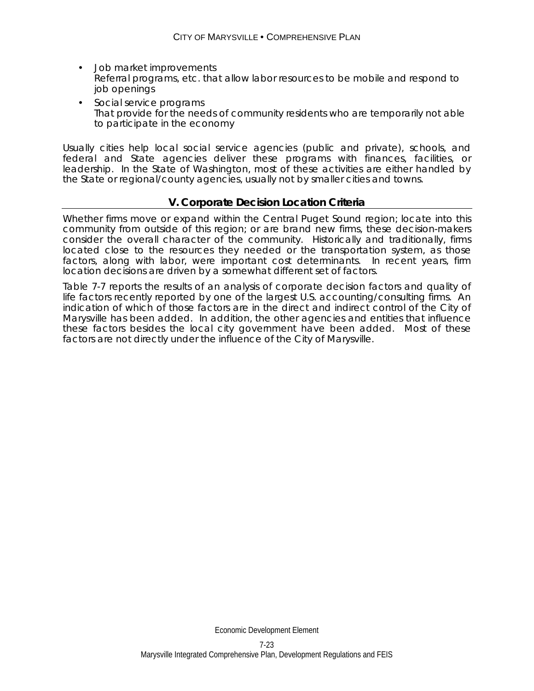- Job market improvements Referral programs, etc. that allow labor resources to be mobile and respond to job openings
- Social service programs That provide for the needs of community residents who are temporarily not able to participate in the economy

Usually cities help local social service agencies (public and private), schools, and federal and State agencies deliver these programs with finances, facilities, or leadership. In the State of Washington, most of these activities are either handled by the State or regional/county agencies, usually not by smaller cities and towns.

### **V. Corporate Decision Location Criteria**

Whether firms move or expand within the Central Puget Sound region; locate into this community from outside of this region; or are brand new firms, these decision-makers consider the overall character of the community. Historically and traditionally, firms located close to the resources they needed or the transportation system, as those factors, along with labor, were important cost determinants. In recent years, firm location decisions are driven by a somewhat different set of factors.

Table 7-7 reports the results of an analysis of corporate decision factors and quality of life factors recently reported by one of the largest U.S. accounting/consulting firms. An indication of which of those factors are in the direct and indirect control of the City of Marysville has been added. In addition, the other agencies and entities that influence these factors besides the local city government have been added. Most of these factors are not directly under the influence of the City of Marysville.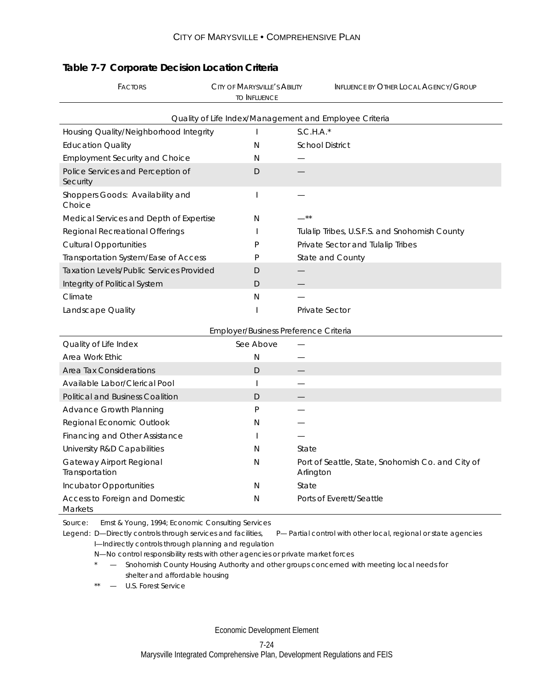| <b>FACTORS</b>                                         | CITY OF MARYSVILLE'S ABILITY<br><b>TO INFLUENCE</b> | <b>INFLUENCE BY OTHER LOCAL AGENCY/GROUP</b>  |  |  |  |
|--------------------------------------------------------|-----------------------------------------------------|-----------------------------------------------|--|--|--|
| Quality of Life Index/Management and Employee Criteria |                                                     |                                               |  |  |  |
| Housing Quality/Neighborhood Integrity                 |                                                     | $S.C.H.A.*$                                   |  |  |  |
| <b>Education Quality</b>                               | N                                                   | <b>School District</b>                        |  |  |  |
| <b>Employment Security and Choice</b>                  | N                                                   |                                               |  |  |  |
| Police Services and Perception of<br>Security          | D                                                   |                                               |  |  |  |
| Shoppers Goods: Availability and<br>Choice             |                                                     |                                               |  |  |  |
| Medical Services and Depth of Expertise                | N                                                   | $***$                                         |  |  |  |
| Regional Recreational Offerings                        |                                                     | Tulalip Tribes, U.S.F.S. and Snohomish County |  |  |  |
| <b>Cultural Opportunities</b>                          | P                                                   | Private Sector and Tulalip Tribes             |  |  |  |
| Transportation System/Ease of Access                   | P                                                   | State and County                              |  |  |  |
| <b>Taxation Levels/Public Services Provided</b>        | D                                                   |                                               |  |  |  |
| Integrity of Political System                          | D                                                   |                                               |  |  |  |
| Climate                                                | N                                                   |                                               |  |  |  |
| Landscape Quality                                      |                                                     | <b>Private Sector</b>                         |  |  |  |

# **Table 7-7 Corporate Decision Location Criteria**

|                                                  | Employer/Business Preference Criteria |                                                                |
|--------------------------------------------------|---------------------------------------|----------------------------------------------------------------|
| Quality of Life Index                            | See Above                             |                                                                |
| Area Work Ethic                                  | Ν                                     |                                                                |
| Area Tax Considerations                          | D                                     |                                                                |
| Available Labor/Clerical Pool                    |                                       |                                                                |
| <b>Political and Business Coalition</b>          | D                                     |                                                                |
| Advance Growth Planning                          | P                                     |                                                                |
| Regional Economic Outlook                        | Ν                                     |                                                                |
| Financing and Other Assistance                   |                                       |                                                                |
| University R&D Capabilities                      | N                                     | State                                                          |
| Gateway Airport Regional<br>Transportation       | N                                     | Port of Seattle, State, Snohomish Co. and City of<br>Arlington |
| Incubator Opportunities                          | N                                     | State                                                          |
| Access to Foreign and Domestic<br><b>Markets</b> | N                                     | Ports of Everett/Seattle                                       |

Source: Ernst & Young, 1994; Economic Consulting Services

Legend: D-Directly controls through services and facilities, P-Partial control with other local, regional or state agencies I—Indirectly controls through planning and regulation

- N—No control responsibility rests with other agencies or private market forces
- \* Snohomish County Housing Authority and other groups concerned with meeting local needs for shelter and affordable housing
- \*\* U.S. Forest Service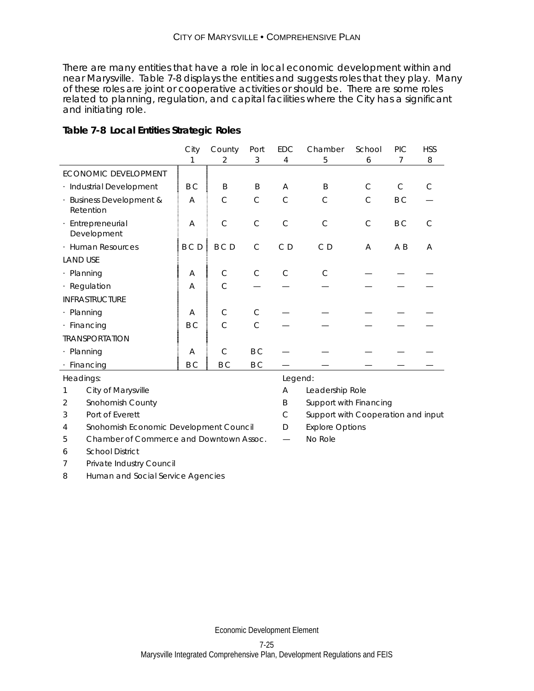There are many entities that have a role in local economic development within and near Marysville. Table 7-8 displays the entities and suggests roles that they play. Many of these roles are joint or cooperative activities or should be. There are some roles related to planning, regulation, and capital facilities where the City has a significant and initiating role.

### **Table 7-8 Local Entities Strategic Roles**

|                                       | City           | County        | Port         | EDC            | Chamber         | School       | <b>PIC</b>     | <b>HSS</b> |
|---------------------------------------|----------------|---------------|--------------|----------------|-----------------|--------------|----------------|------------|
|                                       |                | 2             | 3            | 4              | 5               | 6            | 7              | 8          |
| ECONOMIC DEVELOPMENT                  |                |               |              |                |                 |              |                |            |
| · Industrial Development              | B <sub>C</sub> | B             | B            | A              | B               | $\mathsf{C}$ | $\mathsf{C}$   | C          |
| · Business Development &<br>Retention | A              | $\mathsf{C}$  | $\mathsf{C}$ | $\mathsf{C}$   | $\mathsf{C}$    | $\mathsf{C}$ | B <sub>C</sub> |            |
| · Entrepreneurial<br>Development      | A              | $\mathsf{C}$  | $\mathsf{C}$ | $\mathsf{C}$   | $\mathsf{C}$    | $\mathsf{C}$ | B C            | C          |
| · Human Resources                     | <b>BCD</b>     | <b>BCD</b>    | $\mathsf{C}$ | C <sub>D</sub> | C <sub>D</sub>  | A            | A B            | A          |
| <b>LAND USE</b>                       |                |               |              |                |                 |              |                |            |
| · Planning                            | A              | $\mathsf{C}$  | $\mathsf{C}$ | C              | $\mathcal{C}$   |              |                |            |
| · Regulation                          | A              | $\mathsf{C}$  |              |                |                 |              |                |            |
| <b>INFRASTRUCTURE</b>                 |                |               |              |                |                 |              |                |            |
| · Planning                            | A              | $\mathsf{C}$  | $\mathsf{C}$ |                |                 |              |                |            |
| · Financing                           | B C            | $\mathcal{C}$ | $\mathsf{C}$ |                |                 |              |                |            |
| <b>TRANSPORTATION</b>                 |                |               |              |                |                 |              |                |            |
| · Planning                            | A              | C             | B C          |                |                 |              |                |            |
| · Financing                           | B C            | B C           | B C          |                |                 |              |                |            |
| Headings:                             |                |               |              | Legend:        |                 |              |                |            |
| City of Marysville                    |                |               |              | A              | Leadership Role |              |                |            |

2 Snohomish County **B** Support with Financing

- 3 Port of Everett C Support with Cooperation and input
- 4 Snohomish Economic Development Council D Explore Options
- 5 Chamber of Commerce and Downtown Assoc. No Role
- 6 School District
- 7 Private Industry Council

8 Human and Social Service Agencies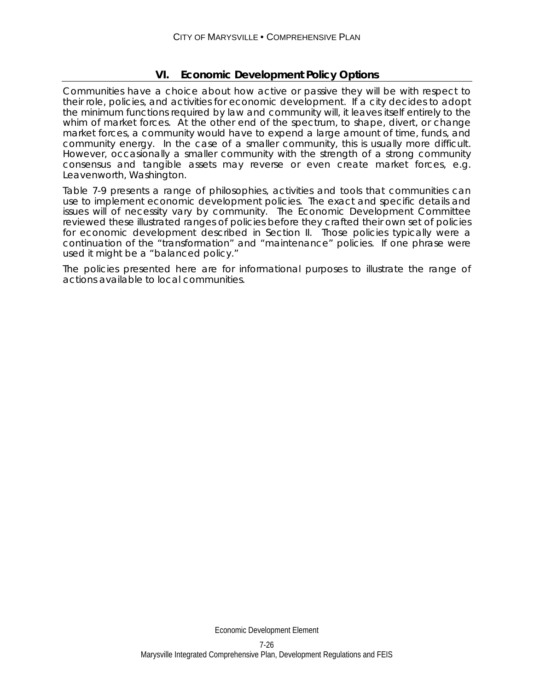### **VI. Economic Development Policy Options**

Communities have a choice about how active or passive they will be with respect to their role, policies, and activities for economic development. If a city decides to adopt the minimum functions required by law and community will, it leaves itself entirely to the whim of market forces. At the other end of the spectrum, to shape, divert, or change market forces, a community would have to expend a large amount of time, funds, and community energy. In the case of a smaller community, this is usually more difficult. However, occasionally a smaller community with the strength of a strong community consensus and tangible assets may reverse or even create market forces, e.g. Leavenworth, Washington.

Table 7-9 presents a range of philosophies, activities and tools that communities can use to implement economic development policies. The exact and specific details and issues will of necessity vary by community. The Economic Development Committee reviewed these illustrated ranges of policies before they crafted their own set of policies for economic development described in Section II. Those policies typically were a continuation of the "transformation" and "maintenance" policies. If one phrase were used it might be a "balanced policy."

The policies presented here are for informational purposes to illustrate the range of actions available to local communities.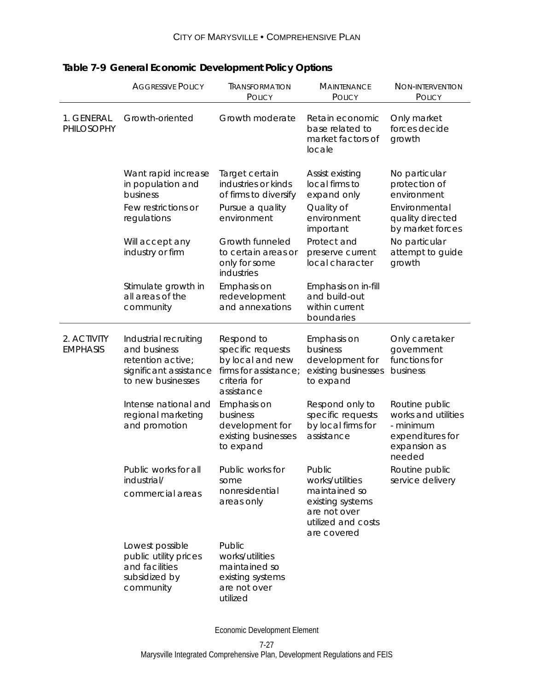|                                | <b>AGGRESSIVE POLICY</b>                                                                                  | TRANSFORMATION<br><b>POLICY</b>                                                                            | <b>MAINTENANCE</b><br><b>POLICY</b>                                                                                 | NON-INTERVENTION<br><b>POLICY</b>                                                                |
|--------------------------------|-----------------------------------------------------------------------------------------------------------|------------------------------------------------------------------------------------------------------------|---------------------------------------------------------------------------------------------------------------------|--------------------------------------------------------------------------------------------------|
| 1. GENERAL<br>PHILOSOPHY       | Growth-oriented                                                                                           | Growth moderate                                                                                            | Retain economic<br>base related to<br>market factors of<br>locale                                                   | Only market<br>forces decide<br>growth                                                           |
|                                | Want rapid increase<br>in population and<br>business<br>Few restrictions or                               | Target certain<br>industries or kinds<br>of firms to diversify<br>Pursue a quality                         | Assist existing<br>local firms to<br>expand only<br>Quality of                                                      | No particular<br>protection of<br>environment<br>Environmental                                   |
|                                | regulations                                                                                               | environment                                                                                                | environment<br>important                                                                                            | quality directed<br>by market forces                                                             |
|                                | Will accept any<br>industry or firm                                                                       | Growth funneled<br>to certain areas or<br>only for some<br>industries                                      | Protect and<br>preserve current<br>local character                                                                  | No particular<br>attempt to guide<br>growth                                                      |
|                                | Stimulate growth in<br>all areas of the<br>community                                                      | Emphasis on<br>redevelopment<br>and annexations                                                            | Emphasis on in-fill<br>and build-out<br>within current<br>boundaries                                                |                                                                                                  |
| 2. ACTIVITY<br><b>EMPHASIS</b> | Industrial recruiting<br>and business<br>retention active;<br>significant assistance<br>to new businesses | Respond to<br>specific requests<br>by local and new<br>firms for assistance;<br>criteria for<br>assistance | Emphasis on<br>business<br>development for<br>existing businesses<br>to expand                                      | Only caretaker<br>government<br>functions for<br>business                                        |
|                                | Intense national and<br>regional marketing<br>and promotion                                               | Emphasis on<br>business<br>development for<br>existing businesses<br>to expand                             | Respond only to<br>specific requests<br>by local firms for<br>assistance                                            | Routine public<br>works and utilities<br>- minimum<br>expenditures for<br>expansion as<br>needed |
|                                | Public works for all<br>industrial/<br>commercial areas                                                   | Public works for<br>some<br>nonresidential<br>areas only                                                   | Public<br>works/utilities<br>maintained so<br>existing systems<br>are not over<br>utilized and costs<br>are covered | Routine public<br>service delivery                                                               |
|                                | Lowest possible<br>public utility prices<br>and facilities<br>subsidized by<br>community                  | Public<br>works/utilities<br>maintained so<br>existing systems<br>are not over<br>utilized                 |                                                                                                                     |                                                                                                  |

# **Table 7-9 General Economic Development Policy Options**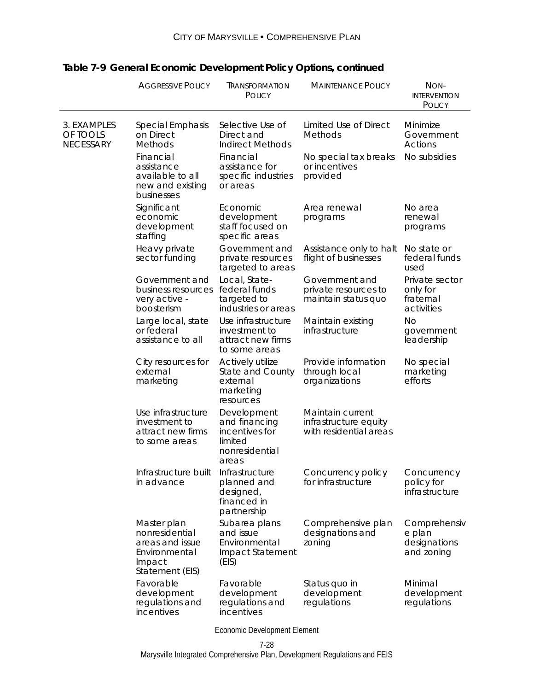|                                             | <b>AGGRESSIVE POLICY</b>                                                                       | TRANSFORMATION<br><b>POLICY</b>                                                      | <b>MAINTENANCE POLICY</b>                                           | NON-<br><b>INTERVENTION</b><br>POLICY                 |
|---------------------------------------------|------------------------------------------------------------------------------------------------|--------------------------------------------------------------------------------------|---------------------------------------------------------------------|-------------------------------------------------------|
| 3. EXAMPLES<br>OF TOOLS<br><b>NECESSARY</b> | <b>Special Emphasis</b><br>on Direct<br><b>Methods</b>                                         | Selective Use of<br>Direct and<br><b>Indirect Methods</b>                            | Limited Use of Direct<br>Methods                                    | Minimize<br>Government<br><b>Actions</b>              |
|                                             | Financial<br>assistance<br>available to all<br>new and existing<br>businesses                  | Financial<br>assistance for<br>specific industries<br>or areas                       | No special tax breaks<br>or incentives<br>provided                  | No subsidies                                          |
|                                             | Significant<br>economic<br>development<br>staffing                                             | Economic<br>development<br>staff focused on<br>specific areas                        | Area renewal<br>programs                                            | No area<br>renewal<br>programs                        |
|                                             | Heavy private<br>sector funding                                                                | Government and<br>private resources<br>targeted to areas                             | Assistance only to halt<br>flight of businesses                     | No state or<br>federal funds<br>used                  |
|                                             | Government and<br>business resources<br>very active -<br>boosterism                            | Local, State-<br>federal funds<br>targeted to<br>industries or areas                 | Government and<br>private resources to<br>maintain status quo       | Private sector<br>only for<br>fraternal<br>activities |
|                                             | Large local, state<br>or federal<br>assistance to all                                          | Use infrastructure<br>investment to<br>attract new firms<br>to some areas            | Maintain existing<br>infrastructure                                 | Nο<br>government<br>leadership                        |
|                                             | City resources for<br>external<br>marketing                                                    | Actively utilize<br><b>State and County</b><br>external<br>marketing<br>resources    | Provide information<br>through local<br>organizations               | No special<br>marketing<br>efforts                    |
|                                             | Use infrastructure<br>investment to<br>attract new firms<br>to some areas                      | Development<br>and financing<br>incentives for<br>limited<br>nonresidential<br>areas | Maintain current<br>infrastructure equity<br>with residential areas |                                                       |
|                                             | Infrastructure built<br>in advance                                                             | Infrastructure<br>planned and<br>designed,<br>financed in<br>partnership             | Concurrency policy<br>for infrastructure                            | Concurrency<br>policy for<br>infrastructure           |
|                                             | Master plan<br>nonresidential<br>areas and issue<br>Environmental<br>Impact<br>Statement (EIS) | Subarea plans<br>and issue<br>Environmental<br>Impact Statement<br>(EIS)             | Comprehensive plan<br>designations and<br>zoning                    | Comprehensiv<br>e plan<br>designations<br>and zoning  |
|                                             | Favorable<br>development<br>regulations and<br>incentives                                      | Favorable<br>development<br>regulations and<br>incentives                            | Status quo in<br>development<br>regulations                         | Minimal<br>development<br>regulations                 |

### CITY OF MARYSVILLE • COMPREHENSIVE PLAN

# **Table 7-9 General Economic Development Policy Options, continued**

Economic Development Element

Marysville Integrated Comprehensive Plan, Development Regulations and FEIS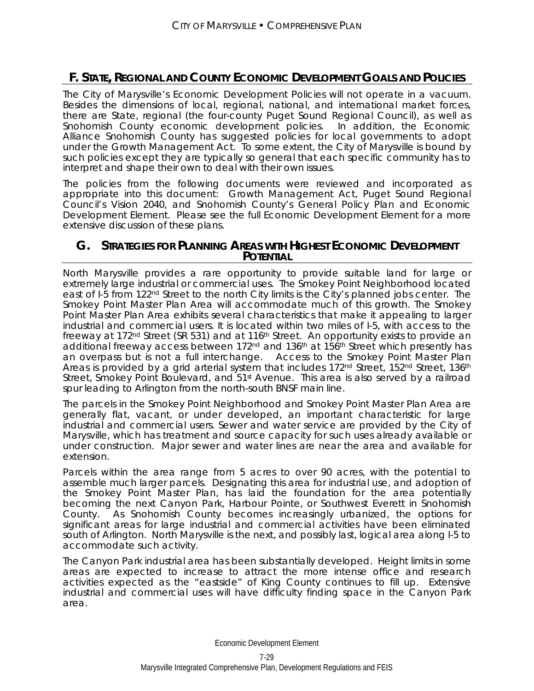# **F. STATE, REGIONAL AND COUNTY ECONOMIC DEVELOPMENT GOALS AND POLICIES**

The City of Marysville's Economic Development Policies will not operate in a vacuum. Besides the dimensions of local, regional, national, and international market forces, there are State, regional (the four-county Puget Sound Regional Council), as well as Snohomish County economic development policies. In addition, the Economic Alliance Snohomish County has suggested policies for local governments to adopt under the Growth Management Act. To some extent, the City of Marysville is bound by such policies except they are typically so general that each specific community has to interpret and shape their own to deal with their own issues.

The policies from the following documents were reviewed and incorporated as appropriate into this document: Growth Management Act, Puget Sound Regional Council's Vision 2040, and Snohomish County's General Policy Plan and Economic Development Element. Please see the full Economic Development Element for a more extensive discussion of these plans.

### **G. STRATEGIES FOR PLANNING AREAS WITH HIGHEST ECONOMIC DEVELOPMENT POTENTIAL**

North Marysville provides a rare opportunity to provide suitable land for large or extremely large industrial or commercial uses. The Smokey Point Neighborhood located east of I-5 from 122nd Street to the north City limits is the City's planned jobs center. The Smokey Point Master Plan Area will accommodate much of this growth. The Smokey Point Master Plan Area exhibits several characteristics that make it appealing to larger industrial and commercial users. It is located within two miles of I-5, with access to the freeway at 172<sup>nd</sup> Street (SR 531) and at 116<sup>th</sup> Street. An opportunity exists to provide an additional freeway access between 172 $n<sup>nd</sup>$  and 136<sup>th</sup> at 156<sup>th</sup> Street which presently has an overpass but is not a full interchange. Access to the Smokey Point Master Plan Areas is provided by a grid arterial system that includes 172<sup>nd</sup> Street, 152<sup>nd</sup> Street, 136<sup>th</sup> Street, Smokey Point Boulevard, and 51<sup>st</sup> Avenue. This area is also served by a railroad spur leading to Arlington from the north-south BNSF main line.

The parcels in the Smokey Point Neighborhood and Smokey Point Master Plan Area are generally flat, vacant, or under developed, an important characteristic for large industrial and commercial users. Sewer and water service are provided by the City of Marysville, which has treatment and source capacity for such uses already available or under construction. Major sewer and water lines are near the area and available for extension.

Parcels within the area range from 5 acres to over 90 acres, with the potential to assemble much larger parcels. Designating this area for industrial use, and adoption of the Smokey Point Master Plan, has laid the foundation for the area potentially becoming the next Canyon Park, Harbour Pointe, or Southwest Everett in Snohomish County. As Snohomish County becomes increasingly urbanized, the options for significant areas for large industrial and commercial activities have been eliminated south of Arlington. North Marysville is the next, and possibly last, logical area along I-5 to accommodate such activity.

The Canyon Park industrial area has been substantially developed. Height limits in some areas are expected to increase to attract the more intense office and research activities expected as the "eastside" of King County continues to fill up. Extensive industrial and commercial uses will have difficulty finding space in the Canyon Park area.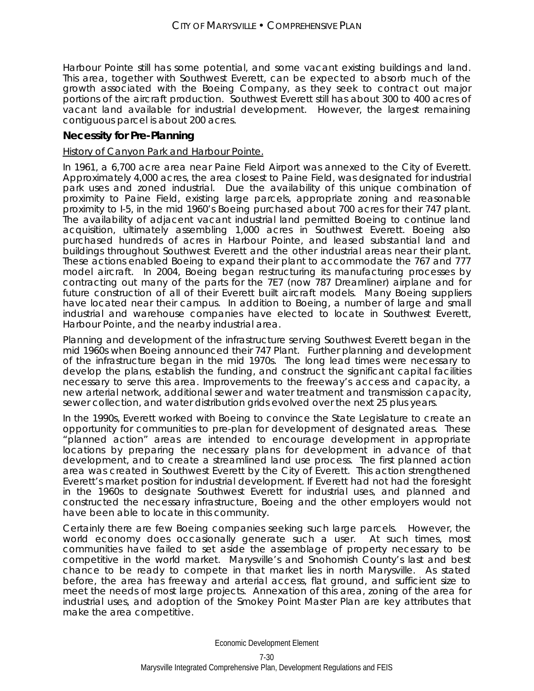Harbour Pointe still has some potential, and some vacant existing buildings and land. This area, together with Southwest Everett, can be expected to absorb much of the growth associated with the Boeing Company, as they seek to contract out major portions of the aircraft production. Southwest Everett still has about 300 to 400 acres of vacant land available for industrial development. However, the largest remaining contiguous parcel is about 200 acres.

### **Necessity for Pre-Planning**

### History of Canyon Park and Harbour Pointe.

In 1961, a 6,700 acre area near Paine Field Airport was annexed to the City of Everett. Approximately 4,000 acres, the area closest to Paine Field, was designated for industrial park uses and zoned industrial. Due the availability of this unique combination of proximity to Paine Field, existing large parcels, appropriate zoning and reasonable proximity to I-5, in the mid 1960's Boeing purchased about 700 acres for their 747 plant. The availability of adjacent vacant industrial land permitted Boeing to continue land acquisition, ultimately assembling 1,000 acres in Southwest Everett. Boeing also purchased hundreds of acres in Harbour Pointe, and leased substantial land and buildings throughout Southwest Everett and the other industrial areas near their plant. These actions enabled Boeing to expand their plant to accommodate the 767 and 777 model aircraft. In 2004, Boeing began restructuring its manufacturing processes by contracting out many of the parts for the 7E7 (now 787 Dreamliner) airplane and for future construction of all of their Everett built aircraft models. Many Boeing suppliers have located near their campus. In addition to Boeing, a number of large and small industrial and warehouse companies have elected to locate in Southwest Everett, Harbour Pointe, and the nearby industrial area.

Planning and development of the infrastructure serving Southwest Everett began in the mid 1960s when Boeing announced their 747 Plant. Further planning and development of the infrastructure began in the mid 1970s. The long lead times were necessary to develop the plans, establish the funding, and construct the significant capital facilities necessary to serve this area. Improvements to the freeway's access and capacity, a new arterial network, additional sewer and water treatment and transmission capacity, sewer collection, and water distribution grids evolved over the next 25 plus years.

In the 1990s, Everett worked with Boeing to convince the State Legislature to create an opportunity for communities to pre-plan for development of designated areas. These "planned action" areas are intended to encourage development in appropriate locations by preparing the necessary plans for development in advance of that development, and to create a streamlined land use process. The first planned action area was created in Southwest Everett by the City of Everett. This action strengthened Everett's market position for industrial development. If Everett had not had the foresight in the 1960s to designate Southwest Everett for industrial uses, and planned and constructed the necessary infrastructure, Boeing and the other employers would not have been able to locate in this community.

Certainly there are few Boeing companies seeking such large parcels. However, the world economy does occasionally generate such a user. At such times, most communities have failed to set aside the assemblage of property necessary to be competitive in the world market. Marysville's and Snohomish County's last and best chance to be ready to compete in that market lies in north Marysville. As stated before, the area has freeway and arterial access, flat ground, and sufficient size to meet the needs of most large projects. Annexation of this area, zoning of the area for industrial uses, and adoption of the Smokey Point Master Plan are key attributes that make the area competitive.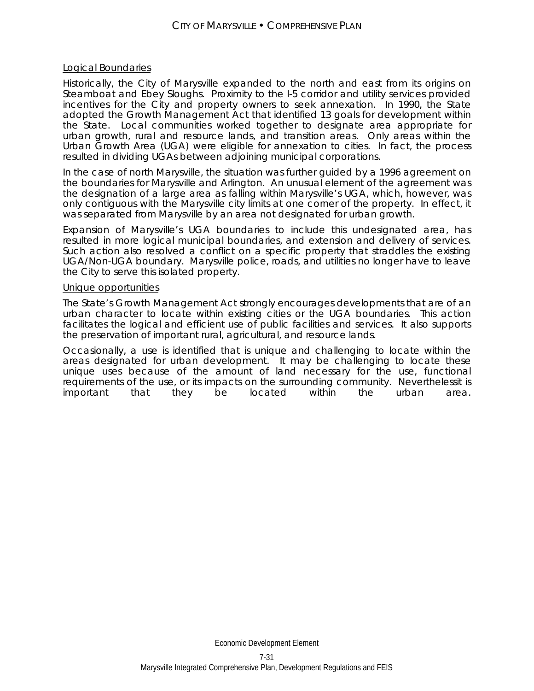### Logical Boundaries

Historically, the City of Marysville expanded to the north and east from its origins on Steamboat and Ebey Sloughs. Proximity to the I-5 corridor and utility services provided incentives for the City and property owners to seek annexation. In 1990, the State adopted the Growth Management Act that identified 13 goals for development within the State. Local communities worked together to designate area appropriate for urban growth, rural and resource lands, and transition areas. Only areas within the Urban Growth Area (UGA) were eligible for annexation to cities. In fact, the process resulted in dividing UGAs between adjoining municipal corporations.

In the case of north Marysville, the situation was further guided by a 1996 agreement on the boundaries for Marysville and Arlington. An unusual element of the agreement was the designation of a large area as falling within Marysville's UGA, which, however, was only contiguous with the Marysville city limits at one corner of the property. In effect, it was separated from Marysville by an area not designated for urban growth.

Expansion of Marysville's UGA boundaries to include this undesignated area, has resulted in more logical municipal boundaries, and extension and delivery of services. Such action also resolved a conflict on a specific property that straddles the existing UGA/Non-UGA boundary. Marysville police, roads, and utilities no longer have to leave the City to serve this isolated property.

### Unique opportunities

The State's Growth Management Act strongly encourages developments that are of an urban character to locate within existing cities or the UGA boundaries. This action facilitates the logical and efficient use of public facilities and services. It also supports the preservation of important rural, agricultural, and resource lands.

Occasionally, a use is identified that is unique and challenging to locate within the areas designated for urban development. It may be challenging to locate these unique uses because of the amount of land necessary for the use, functional requirements of the use, or its impacts on the surrounding community. Neverthelessit is important that they be located within the urban area.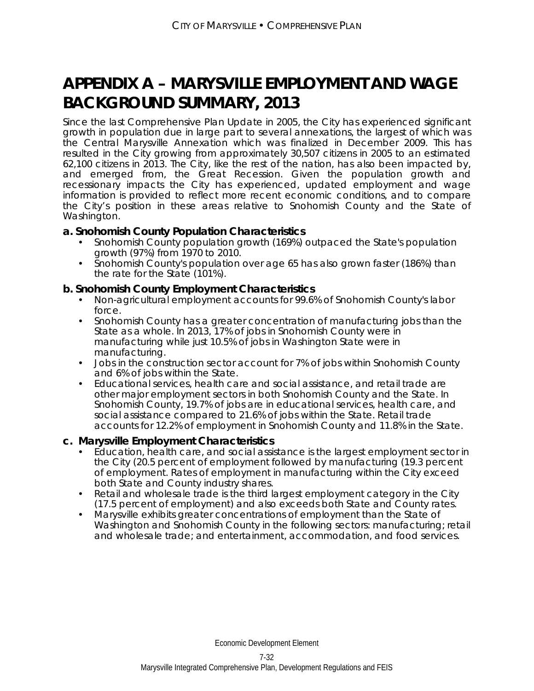# **APPENDIX A – MARYSVILLE EMPLOYMENT AND WAGE BACKGROUND SUMMARY, 2013**

Since the last Comprehensive Plan Update in 2005, the City has experienced significant growth in population due in large part to several annexations, the largest of which was the Central Marysville Annexation which was finalized in December 2009. This has resulted in the City growing from approximately 30,507 citizens in 2005 to an estimated 62,100 citizens in 2013. The City, like the rest of the nation, has also been impacted by, and emerged from, the Great Recession. Given the population growth and recessionary impacts the City has experienced, updated employment and wage information is provided to reflect more recent economic conditions, and to compare the City's position in these areas relative to Snohomish County and the State of Washington.

### **a. Snohomish County Population Characteristics**

- Snohomish County population growth (169%) outpaced the State's population growth (97%) from 1970 to 2010.
- Snohomish County's population over age 65 has also grown faster (186%) than the rate for the State (101%).

### **b. Snohomish County Employment Characteristics**

- Non-agricultural employment accounts for 99.6% of Snohomish County's labor force.
- Snohomish County has a greater concentration of manufacturing jobs than the State as a whole. In 2013, 17% of jobs in Snohomish County were in manufacturing while just 10.5% of jobs in Washington State were in manufacturing.
- Jobs in the construction sector account for 7% of jobs within Snohomish County and 6% of jobs within the State.
- Educational services, health care and social assistance, and retail trade are other major employment sectors in both Snohomish County and the State. In Snohomish County, 19.7% of jobs are in educational services, health care, and social assistance compared to 21.6% of jobs within the State. Retail trade accounts for 12.2% of employment in Snohomish County and 11.8% in the State.

### **c. Marysville Employment Characteristics**

- Education, health care, and social assistance is the largest employment sector in the City (20.5 percent of employment followed by manufacturing (19.3 percent of employment. Rates of employment in manufacturing within the City exceed both State and County industry shares.
- Retail and wholesale trade is the third largest employment category in the City (17.5 percent of employment) and also exceeds both State and County rates.
- Marysville exhibits greater concentrations of employment than the State of Washington and Snohomish County in the following sectors: manufacturing; retail and wholesale trade; and entertainment, accommodation, and food services.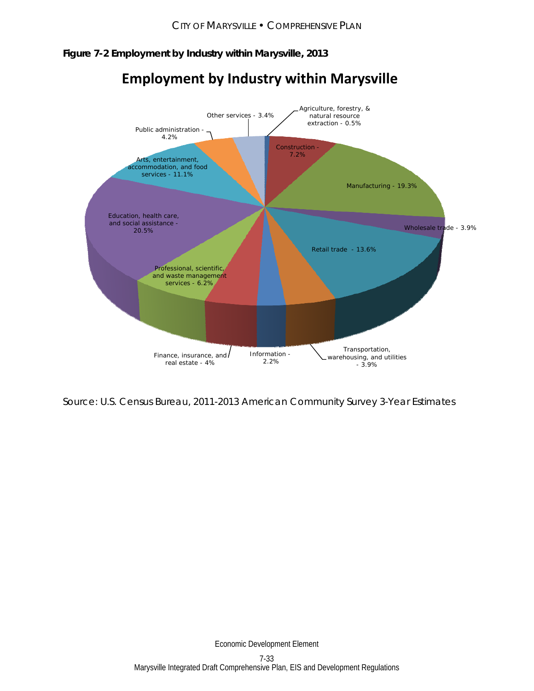### **Figure 7-2 Employment by Industry within Marysville, 2013**



# **Employment by Industry within Marysville**

Source: U.S. Census Bureau, 2011-2013 American Community Survey 3-Year Estimates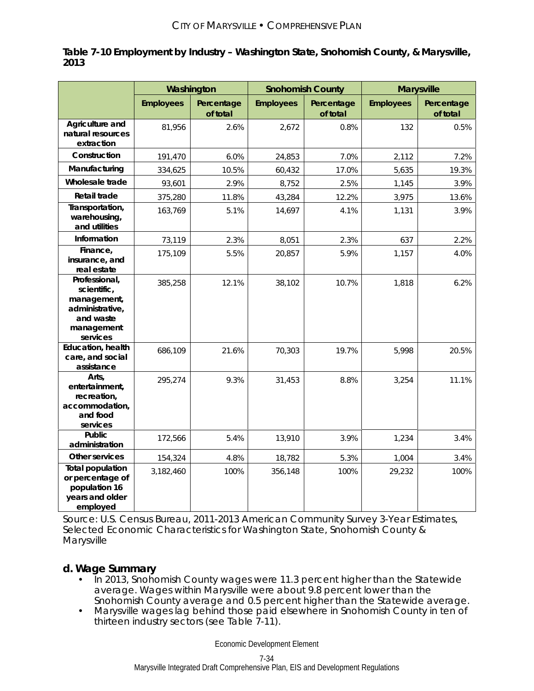| Table 7-10 Employment by Industry - Washington State, Snohomish County, & Marysville, |  |
|---------------------------------------------------------------------------------------|--|
| 2013                                                                                  |  |

|                                                                                                       | Washington       |                        |                  | <b>Snohomish County</b> |                  | <b>Marysville</b>      |
|-------------------------------------------------------------------------------------------------------|------------------|------------------------|------------------|-------------------------|------------------|------------------------|
|                                                                                                       | <b>Employees</b> | Percentage<br>of total | <b>Employees</b> | Percentage<br>of total  | <b>Employees</b> | Percentage<br>of total |
| Agriculture and<br>natural resources<br>extraction                                                    | 81,956           | 2.6%                   | 2,672            | 0.8%                    | 132              | 0.5%                   |
| Construction                                                                                          | 191,470          | 6.0%                   | 24,853           | 7.0%                    | 2,112            | 7.2%                   |
| Manufacturing                                                                                         | 334,625          | 10.5%                  | 60,432           | 17.0%                   | 5,635            | 19.3%                  |
| Wholesale trade                                                                                       | 93,601           | 2.9%                   | 8,752            | 2.5%                    | 1,145            | 3.9%                   |
| Retail trade                                                                                          | 375,280          | 11.8%                  | 43,284           | 12.2%                   | 3,975            | 13.6%                  |
| Transportation,<br>warehousing,<br>and utilities                                                      | 163,769          | 5.1%                   | 14,697           | 4.1%                    | 1,131            | 3.9%                   |
| Information                                                                                           | 73,119           | 2.3%                   | 8,051            | 2.3%                    | 637              | 2.2%                   |
| Finance,<br>insurance, and<br>real estate                                                             | 175,109          | 5.5%                   | 20,857           | 5.9%                    | 1,157            | 4.0%                   |
| Professional,<br>scientific,<br>management,<br>administrative,<br>and waste<br>management<br>services | 385,258          | 12.1%                  | 38,102           | 10.7%                   | 1,818            | 6.2%                   |
| Education, health<br>care, and social<br>assistance                                                   | 686,109          | 21.6%                  | 70,303           | 19.7%                   | 5,998            | 20.5%                  |
| Arts,<br>entertainment,<br>recreation,<br>accommodation,<br>and food<br>services                      | 295,274          | 9.3%                   | 31,453           | 8.8%                    | 3,254            | 11.1%                  |
| Public<br>administration                                                                              | 172,566          | 5.4%                   | 13,910           | 3.9%                    | 1,234            | 3.4%                   |
| <b>Other services</b>                                                                                 | 154,324          | 4.8%                   | 18,782           | 5.3%                    | 1,004            | 3.4%                   |
| <b>Total population</b><br>or percentage of<br>population 16<br>years and older<br>employed           | 3,182,460        | 100%                   | 356,148          | 100%                    | 29,232           | 100%                   |

Source: U.S. Census Bureau, 2011-2013 American Community Survey 3-Year Estimates, Selected Economic Characteristics for Washington State, Snohomish County & Marysville

# **d. Wage Summary**

- In 2013, Snohomish County wages were 11.3 percent higher than the Statewide average. Wages within Marysville were about 9.8 percent lower than the Snohomish County average and 0.5 percent higher than the Statewide average.
- Marysville wages lag behind those paid elsewhere in Snohomish County in ten of thirteen industry sectors (see Table 7-11).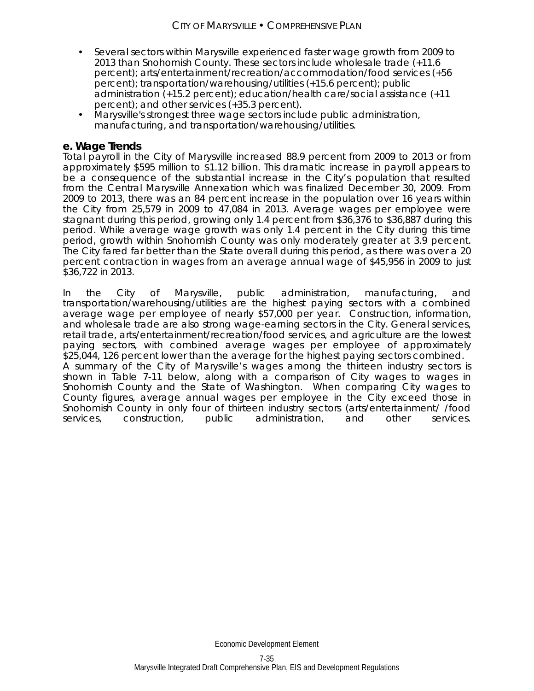- Several sectors within Marysville experienced faster wage growth from 2009 to 2013 than Snohomish County. These sectors include wholesale trade (+11.6 percent); arts/entertainment/recreation/accommodation/food services (+56 percent); transportation/warehousing/utilities (+15.6 percent); public administration (+15.2 percent); education/health care/social assistance (+11 percent); and other services (+35.3 percent).
- Marysville's strongest three wage sectors include public administration, manufacturing, and transportation/warehousing/utilities.

### **e. Wage Trends**

Total payroll in the City of Marysville increased 88.9 percent from 2009 to 2013 or from approximately \$595 million to \$1.12 billion. This dramatic increase in payroll appears to be a consequence of the substantial increase in the City's population that resulted from the Central Marysville Annexation which was finalized December 30, 2009. From 2009 to 2013, there was an 84 percent increase in the population over 16 years within the City from 25,579 in 2009 to 47,084 in 2013. Average wages per employee were stagnant during this period, growing only 1.4 percent from \$36,376 to \$36,887 during this period. While average wage growth was only 1.4 percent in the City during this time period, growth within Snohomish County was only moderately greater at 3.9 percent. The City fared far better than the State overall during this period, as there was over a 20 percent contraction in wages from an average annual wage of \$45,956 in 2009 to just \$36,722 in 2013.

In the City of Marysville, public administration, manufacturing, and transportation/warehousing/utilities are the highest paying sectors with a combined average wage per employee of nearly \$57,000 per year. Construction, information, and wholesale trade are also strong wage-earning sectors in the City. General services, retail trade, arts/entertainment/recreation/food services, and agriculture are the lowest paying sectors, with combined average wages per employee of approximately \$25,044, 126 percent lower than the average for the highest paying sectors combined. A summary of the City of Marysville's wages among the thirteen industry sectors is shown in Table 7-11 below, along with a comparison of City wages to wages in Snohomish County and the State of Washington. When comparing City wages to County figures, average annual wages per employee in the City exceed those in Snohomish County in only four of thirteen industry sectors (arts/entertainment/ /food services, construction, public administration, and other services.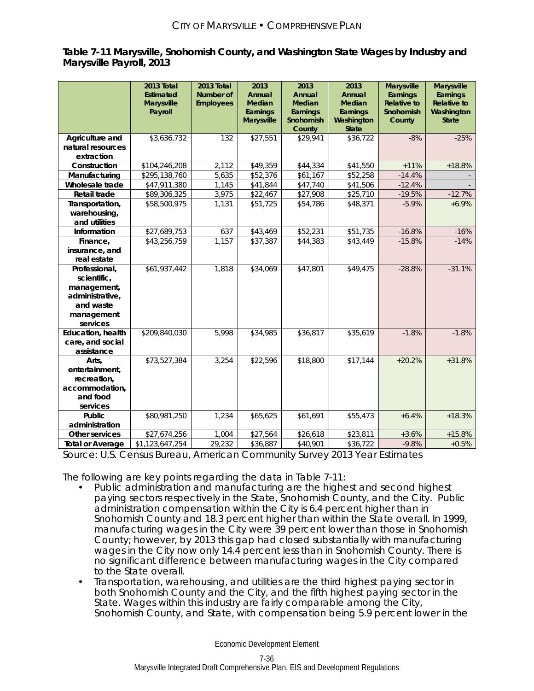### **Table 7-11 Marysville, Snohomish County, and Washington State Wages by Industry and Marysville Payroll, 2013**

|                                                                                                       | 2013 Total<br><b>Estimated</b><br><b>Marysville</b><br>Payroll | 2013 Total<br><b>Number of</b><br><b>Employees</b> | 2013<br>Annual<br><b>Median</b><br>Earnings | 2013<br>Annual<br><b>Median</b><br>Earnings | 2013<br>Annual<br><b>Median</b><br>Earnings | <b>Marysville</b><br>Earnings<br><b>Relative to</b><br>Snohomish | <b>Marysville</b><br>Earnings<br><b>Relative to</b><br>Washington |
|-------------------------------------------------------------------------------------------------------|----------------------------------------------------------------|----------------------------------------------------|---------------------------------------------|---------------------------------------------|---------------------------------------------|------------------------------------------------------------------|-------------------------------------------------------------------|
|                                                                                                       |                                                                |                                                    | <b>Marysville</b>                           | Snohomish<br>County                         | Washington<br><b>State</b>                  | County                                                           | <b>State</b>                                                      |
| Agriculture and<br>natural resources                                                                  | \$3,636,732                                                    | 132                                                | \$27,551                                    | \$29,941                                    | \$36,722                                    | $-8%$                                                            | $-25%$                                                            |
| extraction<br>Construction                                                                            | \$104,246,208                                                  | 2,112                                              | \$49,359                                    | \$44,334                                    | \$41,550                                    | $+11%$                                                           | $+18.8%$                                                          |
| Manufacturing                                                                                         | \$295,138,760                                                  | 5,635                                              | $\overline{$}52,376$                        | \$61,167                                    | \$52,258                                    | $-14.4%$                                                         |                                                                   |
| Wholesale trade                                                                                       | \$47,911,380                                                   | 1,145                                              | \$41,844                                    | \$47,740                                    | \$41,506                                    | $-12.4%$                                                         |                                                                   |
| Retail trade                                                                                          | \$89,306,325                                                   | 3,975                                              | \$22,467                                    | \$27,908                                    | \$25,710                                    | $-19.5%$                                                         | $-12.7%$                                                          |
| Transportation,<br>warehousing,<br>and utilities                                                      | \$58,500,975                                                   | 1,131                                              | \$51,725                                    | \$54,786                                    | \$48,371                                    | $-5.9%$                                                          | $+6.9%$                                                           |
| Information                                                                                           | \$27,689,753                                                   | 637                                                | \$43,469                                    | \$52,231                                    | \$51,735                                    | $-16.8%$                                                         | $-16%$                                                            |
| Finance,                                                                                              | \$43,256,759                                                   | 1,157                                              | \$37,387                                    | \$44,383                                    | \$43,449                                    | $-15.8%$                                                         | $-14%$                                                            |
| insurance, and<br>real estate                                                                         |                                                                |                                                    |                                             |                                             |                                             |                                                                  |                                                                   |
| Professional,<br>scientific,<br>management,<br>administrative,<br>and waste<br>management<br>services | \$61,937,442                                                   | 1,818                                              | \$34,069                                    | \$47,801                                    | \$49,475                                    | $-28.8%$                                                         | $-31.1%$                                                          |
| Education, health<br>care, and social<br>assistance                                                   | \$209,840,030                                                  | 5,998                                              | \$34,985                                    | \$36,817                                    | \$35,619                                    | $-1.8%$                                                          | $-1.8%$                                                           |
| Arts,<br>entertainment,<br>recreation,<br>accommodation,<br>and food<br>services                      | \$73,527,384                                                   | 3,254                                              | \$22,596                                    | \$18,800                                    | \$17,144                                    | $+20.2%$                                                         | $+31.8%$                                                          |
| Public<br>administration                                                                              | \$80,981,250                                                   | 1,234                                              | \$65,625                                    | \$61,691                                    | \$55,473                                    | $+6.4%$                                                          | $+18.3%$                                                          |
| Other services                                                                                        | \$27,674,256                                                   | 1,004                                              | \$27,564                                    | \$26,618                                    | \$23,811                                    | $+3.6%$                                                          | $+15.8%$                                                          |
| <b>Total or Average</b>                                                                               | \$1,123,647,254                                                | 29,232                                             | \$36,887                                    | \$40,901                                    | \$36,722                                    | $-9.8%$                                                          | $+0.5%$                                                           |

Source: U.S. Census Bureau, American Community Survey 2013 Year Estimates

The following are key points regarding the data in Table 7-11:

- Public administration and manufacturing are the highest and second highest paying sectors respectively in the State, Snohomish County, and the City. Public administration compensation within the City is 6.4 percent higher than in Snohomish County and 18.3 percent higher than within the State overall. In 1999, manufacturing wages in the City were 39 percent lower than those in Snohomish County; however, by 2013 this gap had closed substantially with manufacturing wages in the City now only 14.4 percent less than in Snohomish County. There is no significant difference between manufacturing wages in the City compared to the State overall.
- Transportation, warehousing, and utilities are the third highest paying sector in both Snohomish County and the City, and the fifth highest paying sector in the State. Wages within this industry are fairly comparable among the City, Snohomish County, and State, with compensation being 5.9 percent lower in the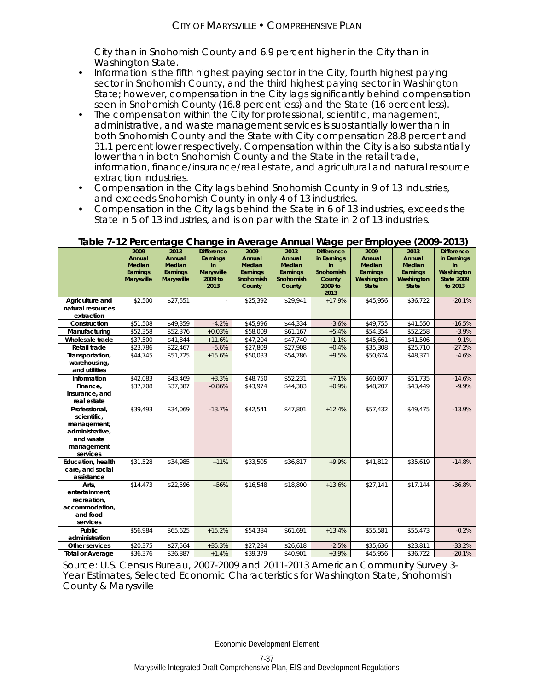City than in Snohomish County and 6.9 percent higher in the City than in Washington State.

- Information is the fifth highest paying sector in the City, fourth highest paying sector in Snohomish County, and the third highest paying sector in Washington State; however, compensation in the City lags significantly behind compensation seen in Snohomish County (16.8 percent less) and the State (16 percent less).
- The compensation within the City for professional, scientific, management, administrative, and waste management services is substantially lower than in both Snohomish County and the State with City compensation 28.8 percent and 31.1 percent lower respectively. Compensation within the City is also substantially lower than in both Snohomish County and the State in the retail trade, information, finance/insurance/real estate, and agricultural and natural resource extraction industries.
- Compensation in the City lags behind Snohomish County in 9 of 13 industries, and exceeds Snohomish County in only 4 of 13 industries.
- Compensation in the City lags behind the State in 6 of 13 industries, exceeds the State in 5 of 13 industries, and is on par with the State in 2 of 13 industries.

|                                                                                                       | 2009<br>Annual<br>Median      | 2013<br>Annual<br>Median      | <b>Difference</b><br>Earnings<br>in  | 2009<br>Annual<br><b>Median</b> | 2013<br>Annual<br><b>Median</b> | <b>Difference</b><br>in Earnings<br>in | 2009<br>Annual<br>Median        | 2013<br>Annual<br>Median               | <b>Difference</b><br>in Earnings<br>in     |
|-------------------------------------------------------------------------------------------------------|-------------------------------|-------------------------------|--------------------------------------|---------------------------------|---------------------------------|----------------------------------------|---------------------------------|----------------------------------------|--------------------------------------------|
|                                                                                                       | Earnings<br><b>Marysville</b> | Earnings<br><b>Marysville</b> | <b>Marysville</b><br>2009 to<br>2013 | Earnings<br>Snohomish<br>County | Earnings<br>Snohomish<br>County | Snohomish<br>County<br>2009 to<br>2013 | Earnings<br>Washington<br>State | Earnings<br>Washington<br><b>State</b> | Washington<br><b>State 2009</b><br>to 2013 |
| Agriculture and<br>natural resources<br>extraction                                                    | \$2,500                       | \$27,551                      |                                      | \$25,392                        | \$29,941                        | $+17.9%$                               | \$45,956                        | \$36,722                               | $-20.1%$                                   |
| Construction                                                                                          | \$51,508                      | \$49,359                      | $-4.2%$                              | \$45,996                        | \$44,334                        | $-3.6%$                                | \$49,755                        | \$41,550                               | $-16.5%$                                   |
| Manufacturing                                                                                         | \$52,358                      | \$52,376                      | $+0.03%$                             | \$58,009                        | \$61,167                        | $+5.4%$                                | \$54,354                        | \$52,258                               | $-3.9%$                                    |
| Wholesale trade                                                                                       | \$37,500                      | \$41,844                      | $+11.6%$                             | \$47,204                        | \$47,740                        | $+1.1%$                                | \$45,661                        | \$41,506                               | $-9.1%$                                    |
| Retail trade                                                                                          | \$23,786                      | \$22,467                      | $-5.6%$                              | \$27,809                        | \$27,908                        | $+0.4%$                                | \$35,308                        | \$25,710                               | $-27.2%$                                   |
| Transportation,<br>warehousing,<br>and utilities                                                      | \$44,745                      | \$51,725                      | $+15.6%$                             | \$50,033                        | \$54.786                        | $+9.5%$                                | \$50.674                        | \$48,371                               | $-4.6%$                                    |
| Information                                                                                           | \$42,083                      | \$43,469                      | $+3.3%$                              | \$48,750                        | \$52,231                        | $+7.1%$                                | \$60,607                        | \$51,735                               | $-14.6%$                                   |
| Finance,<br>insurance, and<br>real estate                                                             | \$37,708                      | \$37,387                      | $-0.86%$                             | \$43,974                        | \$44,383                        | $+0.9%$                                | \$48,207                        | \$43,449                               | $-9.9%$                                    |
| Professional,<br>scientific,<br>management,<br>administrative,<br>and waste<br>management<br>services | \$39,493                      | \$34,069                      | $-13.7%$                             | \$42,541                        | \$47,801                        | $+12.4%$                               | \$57,432                        | \$49,475                               | $-13.9%$                                   |
| Education, health<br>care, and social<br>assistance                                                   | \$31,528                      | \$34,985                      | $+11%$                               | \$33,505                        | \$36,817                        | $+9.9%$                                | \$41,812                        | \$35,619                               | $-14.8%$                                   |
| Arts,<br>entertainment,<br>recreation,<br>accommodation.<br>and food<br>services                      | \$14,473                      | \$22,596                      | $+56%$                               | \$16,548                        | \$18,800                        | $+13.6%$                               | \$27,141                        | \$17,144                               | $-36.8%$                                   |
| Public<br>administration                                                                              | \$56,984                      | \$65,625                      | $+15.2%$                             | \$54,384                        | \$61,691                        | $+13.4%$                               | \$55,581                        | \$55,473                               | $-0.2%$                                    |
| Other services                                                                                        | \$20,375                      | \$27,564                      | $+35.3%$                             | \$27,284                        | \$26,618                        | $-2.5%$                                | \$35,636                        | \$23,811                               | $-33.2%$                                   |
| <b>Total or Average</b>                                                                               | \$36,376                      | \$36,887                      | $+1.4%$                              | \$39,379                        | \$40,901                        | $+3.9%$                                | \$45,956                        | \$36,722                               | $-20.1%$                                   |

### **Table 7-12 Percentage Change in Average Annual Wage per Employee (2009-2013)**

Source: U.S. Census Bureau, 2007-2009 and 2011-2013 American Community Survey 3- Year Estimates, Selected Economic Characteristics for Washington State, Snohomish County & Marysville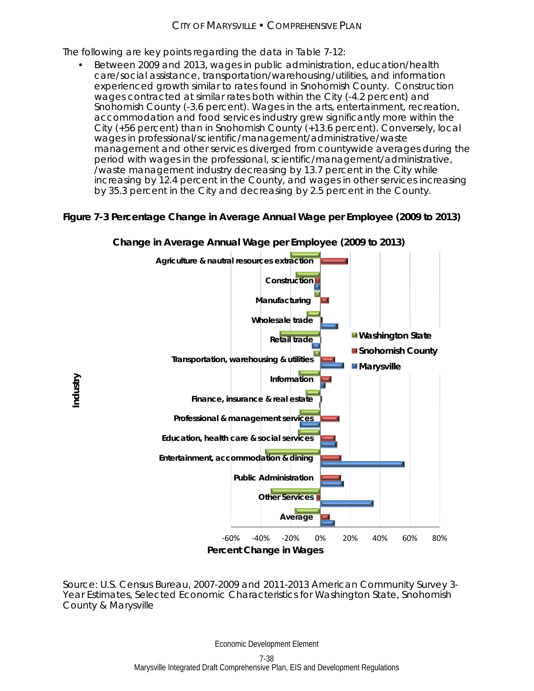The following are key points regarding the data in Table 7-12:

 Between 2009 and 2013, wages in public administration, education/health care/social assistance, transportation/warehousing/utilities, and information experienced growth similar to rates found in Snohomish County. Construction wages contracted at similar rates both within the City (-4.2 percent) and Snohomish County (-3.6 percent). Wages in the arts, entertainment, recreation, accommodation and food services industry grew significantly more within the City (+56 percent) than in Snohomish County (+13.6 percent). Conversely, local wages in professional/scientific/management/administrative/waste management and other services diverged from countywide averages during the period with wages in the professional, scientific/management/administrative, /waste management industry decreasing by 13.7 percent in the City while increasing by 12.4 percent in the County, and wages in other services increasing by 35.3 percent in the City and decreasing by 2.5 percent in the County.

# **Figure 7-3 Percentage Change in Average Annual Wage per Employee (2009 to 2013)**



Source: U.S. Census Bureau, 2007-2009 and 2011-2013 American Community Survey 3- Year Estimates, Selected Economic Characteristics for Washington State, Snohomish County & Marysville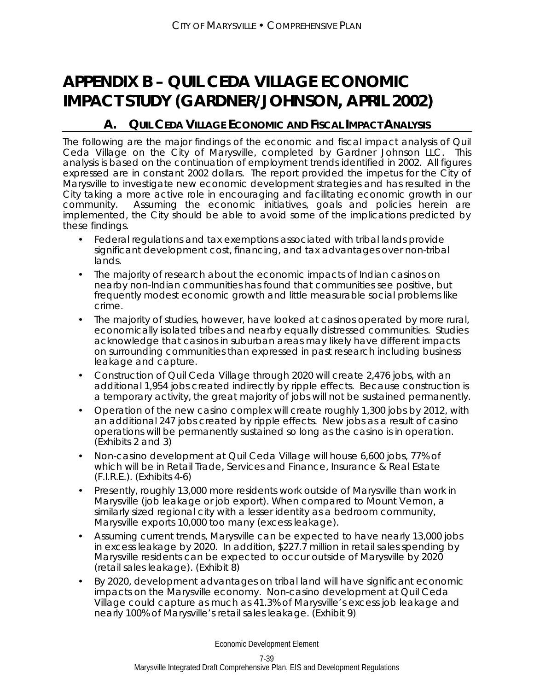# **APPENDIX B – QUIL CEDA VILLAGE ECONOMIC IMPACT STUDY (GARDNER/JOHNSON, APRIL 2002)**

# **A. QUIL CEDA VILLAGE ECONOMIC AND FISCAL IMPACT ANALYSIS**

The following are the major findings of the economic and fiscal impact analysis of Quil Ceda Village on the City of Marysville, completed by Gardner Johnson LLC. This analysis is based on the continuation of employment trends identified in 2002. All figures expressed are in constant 2002 dollars. The report provided the impetus for the City of Marysville to investigate new economic development strategies and has resulted in the City taking a more active role in encouraging and facilitating economic growth in our community. Assuming the economic initiatives, goals and policies herein are implemented, the City should be able to avoid some of the implications predicted by these findings.

- Federal regulations and tax exemptions associated with tribal lands provide significant development cost, financing, and tax advantages over non-tribal lands.
- The majority of research about the economic impacts of Indian casinos on nearby non-Indian communities has found that communities see positive, but frequently modest economic growth and little measurable social problems like crime.
- The majority of studies, however, have looked at casinos operated by more rural, economically isolated tribes and nearby equally distressed communities. Studies acknowledge that casinos in suburban areas may likely have different impacts on surrounding communities than expressed in past research including business leakage and capture.
- Construction of Quil Ceda Village through 2020 will create 2,476 jobs, with an additional 1,954 jobs created indirectly by ripple effects. Because construction is a temporary activity, the great majority of jobs will not be sustained permanently.
- Operation of the new casino complex will create roughly 1,300 jobs by 2012, with an additional 247 jobs created by ripple effects. New jobs as a result of casino operations will be permanently sustained so long as the casino is in operation. (Exhibits 2 and 3)
- Non-casino development at Quil Ceda Village will house 6,600 jobs, 77% of which will be in Retail Trade, Services and Finance, Insurance & Real Estate (F.I.R.E.). (Exhibits 4-6)
- Presently, roughly 13,000 more residents work outside of Marysville than work in Marysville (job leakage or job export). When compared to Mount Vernon, a similarly sized regional city with a lesser identity as a bedroom community, Marysville exports 10,000 too many (excess leakage).
- Assuming current trends, Marysville can be expected to have nearly 13,000 jobs in excess leakage by 2020. In addition, \$227.7 million in retail sales spending by Marysville residents can be expected to occur outside of Marysville by 2020 (retail sales leakage). (Exhibit 8)
- By 2020, development advantages on tribal land will have significant economic impacts on the Marysville economy. Non-casino development at Quil Ceda Village could capture as much as 41.3% of Marysville's excess job leakage and nearly 100% of Marysville's retail sales leakage. (Exhibit 9)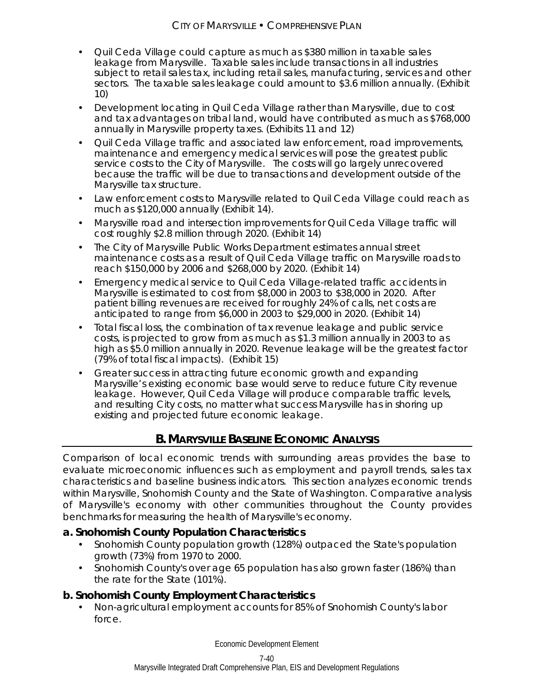- Quil Ceda Village could capture as much as \$380 million in taxable sales leakage from Marysville. Taxable sales include transactions in all industries subject to retail sales tax, including retail sales, manufacturing, services and other sectors. The taxable sales leakage could amount to \$3.6 million annually. (Exhibit 10)
- Development locating in Quil Ceda Village rather than Marysville, due to cost and tax advantages on tribal land, would have contributed as much as \$768,000 annually in Marysville property taxes. (Exhibits 11 and 12)
- Quil Ceda Village traffic and associated law enforcement, road improvements, maintenance and emergency medical services will pose the greatest public service costs to the City of Marysville. The costs will go largely unrecovered because the traffic will be due to transactions and development outside of the Marysville tax structure.
- Law enforcement costs to Marysville related to Quil Ceda Village could reach as much as \$120,000 annually (Exhibit 14).
- Marysville road and intersection improvements for Quil Ceda Village traffic will cost roughly \$2.8 million through 2020. (Exhibit 14)
- The City of Marysville Public Works Department estimates annual street maintenance costs as a result of Quil Ceda Village traffic on Marysville roads to reach \$150,000 by 2006 and \$268,000 by 2020. (Exhibit 14)
- Emergency medical service to Quil Ceda Village-related traffic accidents in Marysville is estimated to cost from \$8,000 in 2003 to \$38,000 in 2020. After patient billing revenues are received for roughly 24% of calls, net costs are anticipated to range from \$6,000 in 2003 to \$29,000 in 2020. (Exhibit 14)
- Total fiscal loss, the combination of tax revenue leakage and public service costs, is projected to grow from as much as \$1.3 million annually in 2003 to as high as \$5.0 million annually in 2020. Revenue leakage will be the greatest factor (79% of total fiscal impacts). (Exhibit 15)
- Greater success in attracting future economic growth and expanding Marysville's existing economic base would serve to reduce future City revenue leakage. However, Quil Ceda Village will produce comparable traffic levels, and resulting City costs, no matter what success Marysville has in shoring up existing and projected future economic leakage.

# **B. MARYSVILLE BASELINE ECONOMIC ANALYSIS**

Comparison of local economic trends with surrounding areas provides the base to evaluate microeconomic influences such as employment and payroll trends, sales tax characteristics and baseline business indicators. This section analyzes economic trends within Marysville, Snohomish County and the State of Washington. Comparative analysis of Marysville's economy with other communities throughout the County provides benchmarks for measuring the health of Marysville's economy.

# **a. Snohomish County Population Characteristics**

- Snohomish County population growth (128%) outpaced the State's population growth (73%) from 1970 to 2000.
- Snohomish County's over age 65 population has also grown faster (186%) than the rate for the State (101%).

# **b. Snohomish County Employment Characteristics**

 Non-agricultural employment accounts for 85% of Snohomish County's labor force.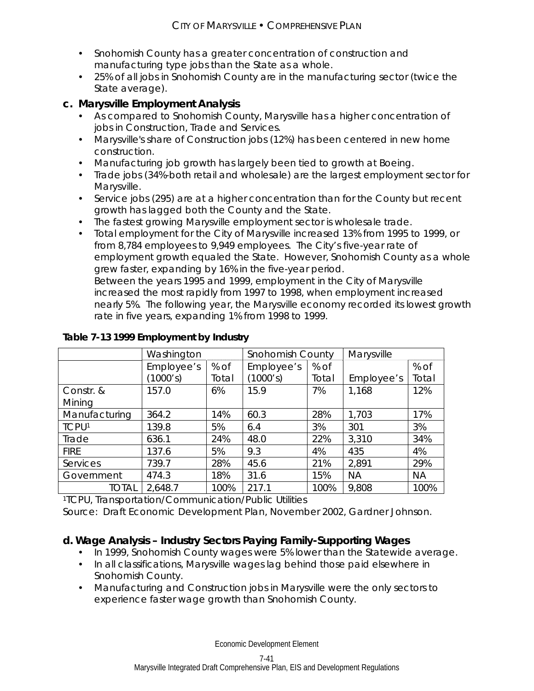- Snohomish County has a greater concentration of construction and manufacturing type jobs than the State as a whole.
- 25% of all jobs in Snohomish County are in the manufacturing sector (twice the State average).

# **c. Marysville Employment Analysis**

- As compared to Snohomish County, Marysville has a higher concentration of jobs in Construction, Trade and Services.
- Marysville's share of Construction jobs (12%) has been centered in new home construction.
- Manufacturing job growth has largely been tied to growth at Boeing.
- Trade jobs (34%-both retail and wholesale) are the largest employment sector for Marysville.
- Service jobs (295) are at a higher concentration than for the County but recent growth has lagged both the County and the State.
- The fastest growing Marysville employment sector is wholesale trade.
- Total employment for the City of Marysville increased 13% from 1995 to 1999, or from 8,784 employees to 9,949 employees. The City's five-year rate of employment growth equaled the State. However, Snohomish County as a whole grew faster, expanding by 16% in the five-year period. Between the years 1995 and 1999, employment in the City of Marysville increased the most rapidly from 1997 to 1998, when employment increased nearly 5%. The following year, the Marysville economy recorded its lowest growth rate in five years, expanding 1% from 1998 to 1999.

|               | Washington |       | <b>Snohomish County</b> |       | Marysville |           |
|---------------|------------|-------|-------------------------|-------|------------|-----------|
|               | Employee's | % of  | Employee's              | % of  |            | % of      |
|               | (1000's)   | Total | (1000's)                | Total | Employee's | Total     |
| Constr. &     | 157.0      | 6%    | 15.9                    | 7%    | 1,168      | 12%       |
| Mining        |            |       |                         |       |            |           |
| Manufacturing | 364.2      | 14%   | 60.3                    | 28%   | 1,703      | 17%       |
| <b>TCPU1</b>  | 139.8      | 5%    | 6.4                     | 3%    | 301        | 3%        |
| Trade         | 636.1      | 24%   | 48.0                    | 22%   | 3,310      | 34%       |
| <b>FIRE</b>   | 137.6      | 5%    | 9.3                     | 4%    | 435        | 4%        |
| Services      | 739.7      | 28%   | 45.6                    | 21%   | 2,891      | 29%       |
| Government    | 474.3      | 18%   | 31.6                    | 15%   | <b>NA</b>  | <b>NA</b> |
| <b>TOTAL</b>  | 2,648.7    | 100%  | 217.1                   | 100%  | 9,808      | 100%      |

# **Table 7-13 1999 Employment by Industry**

1TCPU, Transportation/Communication/Public Utilities Source: Draft Economic Development Plan, November 2002, Gardner Johnson.

# **d. Wage Analysis – Industry Sectors Paying Family-Supporting Wages**

- In 1999, Snohomish County wages were 5% lower than the Statewide average.
- In all classifications, Marysville wages lag behind those paid elsewhere in Snohomish County.
- Manufacturing and Construction jobs in Marysville were the only sectors to experience faster wage growth than Snohomish County.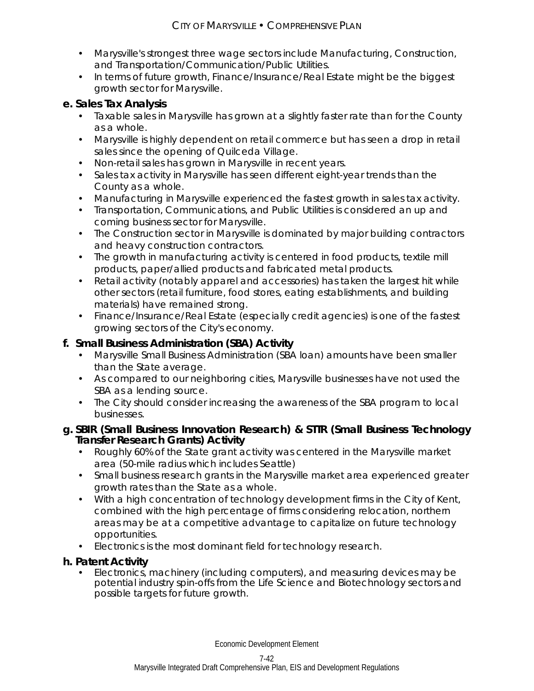- Marysville's strongest three wage sectors include Manufacturing, Construction, and Transportation/Communication/Public Utilities.
- In terms of future growth, Finance/Insurance/Real Estate might be the biggest growth sector for Marysville.

# **e. Sales Tax Analysis**

- Taxable sales in Marysville has grown at a slightly faster rate than for the County as a whole.
- Marysville is highly dependent on retail commerce but has seen a drop in retail sales since the opening of Quilceda Village.
- Non-retail sales has grown in Marysville in recent years.
- Sales tax activity in Marysville has seen different eight-year trends than the County as a whole.
- Manufacturing in Marysville experienced the fastest growth in sales tax activity.
- Transportation, Communications, and Public Utilities is considered an up and coming business sector for Marysville.
- The Construction sector in Marysville is dominated by major building contractors and heavy construction contractors.
- The growth in manufacturing activity is centered in food products, textile mill products, paper/allied products and fabricated metal products.
- Retail activity (notably apparel and accessories) has taken the largest hit while other sectors (retail furniture, food stores, eating establishments, and building materials) have remained strong.
- Finance/Insurance/Real Estate (especially credit agencies) is one of the fastest growing sectors of the City's economy.

# **f. Small Business Administration (SBA) Activity**

- Marysville Small Business Administration (SBA loan) amounts have been smaller than the State average.
- As compared to our neighboring cities, Marysville businesses have not used the SBA as a lending source.
- The City should consider increasing the awareness of the SBA program to local businesses.

### **g. SBIR (Small Business Innovation Research) & STTR (Small Business Technology Transfer Research Grants) Activity**

- Roughly 60% of the State grant activity was centered in the Marysville market area (50-mile radius which includes Seattle)
- Small business research grants in the Marysville market area experienced greater growth rates than the State as a whole.
- With a high concentration of technology development firms in the City of Kent, combined with the high percentage of firms considering relocation, northern areas may be at a competitive advantage to capitalize on future technology opportunities.
- Electronics is the most dominant field for technology research.

# **h. Patent Activity**

 Electronics, machinery (including computers), and measuring devices may be potential industry spin-offs from the Life Science and Biotechnology sectors and possible targets for future growth.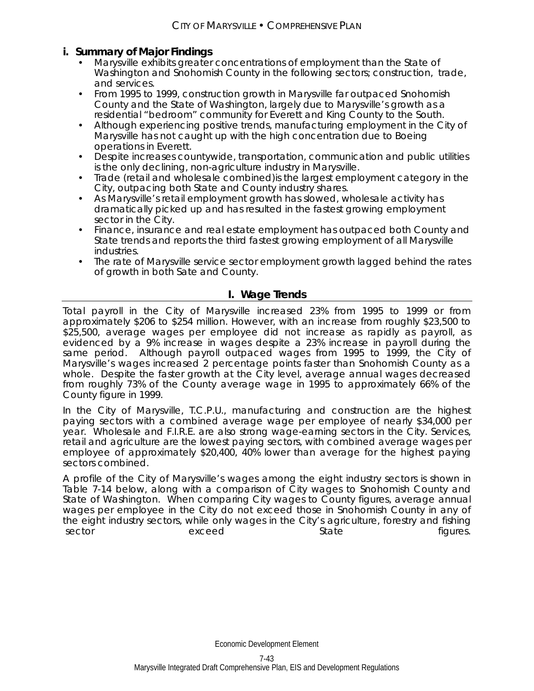### **i. Summary of Major Findings**

- Marysville exhibits greater concentrations of employment than the State of Washington and Snohomish County in the following sectors; construction, trade, and services.
- From 1995 to 1999, construction growth in Marysville far outpaced Snohomish County and the State of Washington, largely due to Marysville's growth as a residential "bedroom" community for Everett and King County to the South.
- Although experiencing positive trends, manufacturing employment in the City of Marysville has not caught up with the high concentration due to Boeing operations in Everett.
- Despite increases countywide, transportation, communication and public utilities is the only declining, non-agriculture industry in Marysville.
- Trade (retail and wholesale combined)is the largest employment category in the City, outpacing both State and County industry shares.
- As Marysville's retail employment growth has slowed, wholesale activity has dramatically picked up and has resulted in the fastest growing employment sector in the City.
- Finance, insurance and real estate employment has outpaced both County and State trends and reports the third fastest growing employment of all Marysville industries.
- The rate of Marysville service sector employment growth lagged behind the rates of growth in both Sate and County.

### **I. Wage Trends**

Total payroll in the City of Marysville increased 23% from 1995 to 1999 or from approximately \$206 to \$254 million. However, with an increase from roughly \$23,500 to \$25,500, average wages per employee did not increase as rapidly as payroll, as evidenced by a 9% increase in wages despite a 23% increase in payroll during the same period. Although payroll outpaced wages from 1995 to 1999, the City of Marysville's wages increased 2 percentage points faster than Snohomish County as a whole. Despite the faster growth at the City level, average annual wages decreased from roughly 73% of the County average wage in 1995 to approximately 66% of the County figure in 1999.

In the City of Marysville, T.C.P.U., manufacturing and construction are the highest paying sectors with a combined average wage per employee of nearly \$34,000 per year. Wholesale and F.I.R.E. are also strong wage-earning sectors in the City. Services, retail and agriculture are the lowest paying sectors, with combined average wages per employee of approximately \$20,400, 40% lower than average for the highest paying sectors combined.

A profile of the City of Marysville's wages among the eight industry sectors is shown in Table 7-14 below, along with a comparison of City wages to Snohomish County and State of Washington. When comparing City wages to County figures, average annual wages per employee in the City do not exceed those in Snohomish County in any of the eight industry sectors, while only wages in the City's agriculture, forestry and fishing sector exceed exceed State State figures.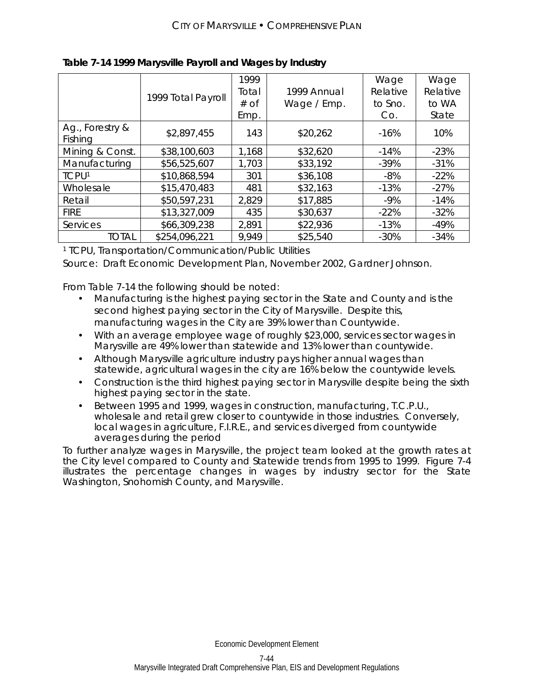|                            |                    | 1999  |             | Wage     | Wage     |
|----------------------------|--------------------|-------|-------------|----------|----------|
|                            | 1999 Total Payroll | Total | 1999 Annual | Relative | Relative |
|                            |                    | # of  | Wage / Emp. | to Sno.  | to WA    |
|                            |                    | Emp.  |             | Co.      | State    |
| Ag., Forestry &<br>Fishing | \$2,897,455        | 143   | \$20,262    | $-16%$   | 10%      |
| Mining & Const.            | \$38,100,603       | 1,168 | \$32,620    | $-14%$   | $-23%$   |
| Manufacturing              | \$56,525,607       | 1,703 | \$33,192    | $-39\%$  | $-31%$   |
| <b>TCPU1</b>               | \$10,868,594       | 301   | \$36,108    | $-8%$    | $-22%$   |
| Wholesale                  | \$15,470,483       | 481   | \$32,163    | $-13%$   | $-27%$   |
| Retail                     | \$50,597,231       | 2,829 | \$17,885    | $-9%$    | $-14%$   |
| <b>FIRE</b>                | \$13,327,009       | 435   | \$30,637    | $-22%$   | $-32%$   |
| Services                   | \$66,309,238       | 2,891 | \$22,936    | $-13%$   | $-49%$   |
| TOTAL                      | \$254,096,221      | 9,949 | \$25,540    | $-30%$   | $-34%$   |

**Table 7-14 1999 Marysville Payroll and Wages by Industry** 

1 TCPU, Transportation/Communication/Public Utilities

Source: Draft Economic Development Plan, November 2002, Gardner Johnson.

From Table 7-14 the following should be noted:

- Manufacturing is the highest paying sector in the State and County and is the second highest paying sector in the City of Marysville. Despite this, manufacturing wages in the City are 39% lower than Countywide.
- With an average employee wage of roughly \$23,000, services sector wages in Marysville are 49% lower than statewide and 13% lower than countywide.
- Although Marysville agriculture industry pays higher annual wages than statewide, agricultural wages in the city are 16% below the countywide levels.
- Construction is the third highest paying sector in Marysville despite being the sixth highest paying sector in the state.
- Between 1995 and 1999, wages in construction, manufacturing, T.C.P.U., wholesale and retail grew closer to countywide in those industries. Conversely, local wages in agriculture, F.I.R.E., and services diverged from countywide averages during the period

To further analyze wages in Marysville, the project team looked at the growth rates at the City level compared to County and Statewide trends from 1995 to 1999. Figure 7-4 illustrates the percentage changes in wages by industry sector for the State Washington, Snohomish County, and Marysville.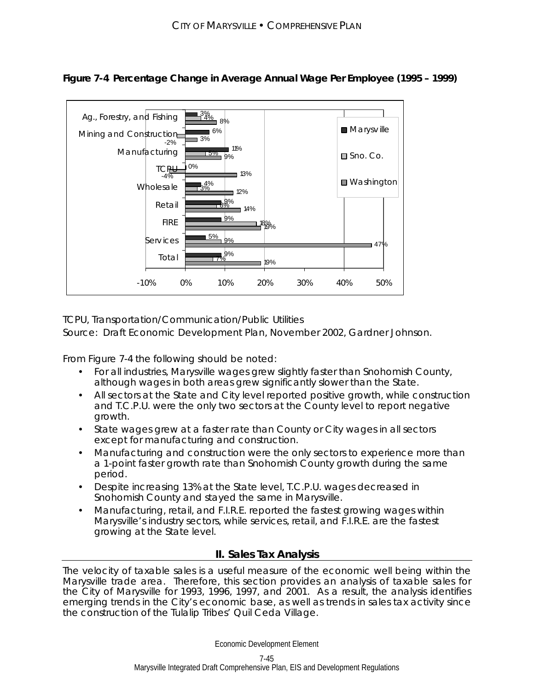

# **Figure 7-4 Percentage Change in Average Annual Wage Per Employee (1995 – 1999)**

TCPU, Transportation/Communication/Public Utilities

Source: Draft Economic Development Plan, November 2002, Gardner Johnson.

From Figure 7-4 the following should be noted:

- For all industries, Marysville wages grew slightly faster than Snohomish County, although wages in both areas grew significantly slower than the State.
- All sectors at the State and City level reported positive growth, while construction and T.C.P.U. were the only two sectors at the County level to report negative growth.
- State wages grew at a faster rate than County or City wages in all sectors except for manufacturing and construction.
- Manufacturing and construction were the only sectors to experience more than a 1-point faster growth rate than Snohomish County growth during the same period.
- Despite increasing 13% at the State level, T.C.P.U. wages decreased in Snohomish County and stayed the same in Marysville.
- Manufacturing, retail, and F.I.R.E. reported the fastest growing wages within Marysville's industry sectors, while services, retail, and F.I.R.E. are the fastest growing at the State level.

### **II. Sales Tax Analysis**

The velocity of taxable sales is a useful measure of the economic well being within the Marysville trade area. Therefore, this section provides an analysis of taxable sales for the City of Marysville for 1993, 1996, 1997, and 2001. As a result, the analysis identifies emerging trends in the City's economic base, as well as trends in sales tax activity since the construction of the Tulalip Tribes' Quil Ceda Village.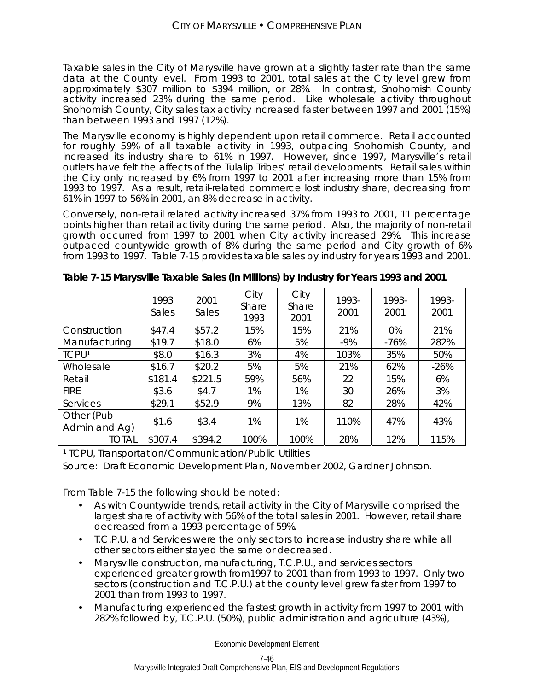Taxable sales in the City of Marysville have grown at a slightly faster rate than the same data at the County level. From 1993 to 2001, total sales at the City level grew from approximately \$307 million to \$394 million, or 28%. In contrast, Snohomish County activity increased 23% during the same period. Like wholesale activity throughout Snohomish County, City sales tax activity increased faster between 1997 and 2001 (15%) than between 1993 and 1997 (12%).

The Marysville economy is highly dependent upon retail commerce. Retail accounted for roughly 59% of all taxable activity in 1993, outpacing Snohomish County, and increased its industry share to 61% in 1997. However, since 1997, Marysville's retail outlets have felt the affects of the Tulalip Tribes' retail developments. Retail sales within the City only increased by 6% from 1997 to 2001 after increasing more than 15% from 1993 to 1997. As a result, retail-related commerce lost industry share, decreasing from 61% in 1997 to 56% in 2001, an 8% decrease in activity.

Conversely, non-retail related activity increased 37% from 1993 to 2001, 11 percentage points higher than retail activity during the same period. Also, the majority of non-retail growth occurred from 1997 to 2001 when City activity increased 29%. This increase outpaced countywide growth of 8% during the same period and City growth of 6% from 1993 to 1997. Table 7-15 provides taxable sales by industry for years 1993 and 2001.

|                             | 1993<br>Sales | 2001<br>Sales | City<br>Share<br>1993 | City<br>Share<br>2001 | 1993-<br>2001 | 1993-<br>2001 | 1993-<br>2001 |
|-----------------------------|---------------|---------------|-----------------------|-----------------------|---------------|---------------|---------------|
| Construction                | \$47.4        | \$57.2        | 15%                   | 15%                   | 21%           | 0%            | 21%           |
| Manufacturing               | \$19.7        | \$18.0        | 6%                    | 5%                    | $-9%$         | $-76%$        | 282%          |
| <b>TCPU1</b>                | \$8.0         | \$16.3        | 3%                    | 4%                    | 103%          | 35%           | 50%           |
| Wholesale                   | \$16.7        | \$20.2        | 5%                    | 5%                    | 21%           | 62%           | $-26%$        |
| Retail                      | \$181.4       | \$221.5       | 59%                   | 56%                   | 22            | 15%           | 6%            |
| <b>FIRE</b>                 | \$3.6         | \$4.7         | 1%                    | 1%                    | 30            | 26%           | 3%            |
| Services                    | \$29.1        | \$52.9        | 9%                    | 13%                   | 82            | 28%           | 42%           |
| Other (Pub<br>Admin and Ag) | \$1.6         | \$3.4         | 1%                    | 1%                    | 110%          | 47%           | 43%           |
| total                       | \$307.4       | \$394.2       | 100%                  | 100%                  | 28%           | 12%           | 115%          |

**Table 7-15 Marysville Taxable Sales (in Millions) by Industry for Years 1993 and 2001** 

1 TCPU, Transportation/Communication/Public Utilities

Source: Draft Economic Development Plan, November 2002, Gardner Johnson.

From Table 7-15 the following should be noted:

- As with Countywide trends, retail activity in the City of Marysville comprised the largest share of activity with 56% of the total sales in 2001. However, retail share decreased from a 1993 percentage of 59%.
- T.C.P.U. and Services were the only sectors to increase industry share while all other sectors either stayed the same or decreased.
- Marysville construction, manufacturing, T.C.P.U., and services sectors experienced greater growth from1997 to 2001 than from 1993 to 1997. Only two sectors (construction and T.C.P.U.) at the county level grew faster from 1997 to 2001 than from 1993 to 1997.
- Manufacturing experienced the fastest growth in activity from 1997 to 2001 with 282% followed by, T.C.P.U. (50%), public administration and agriculture (43%),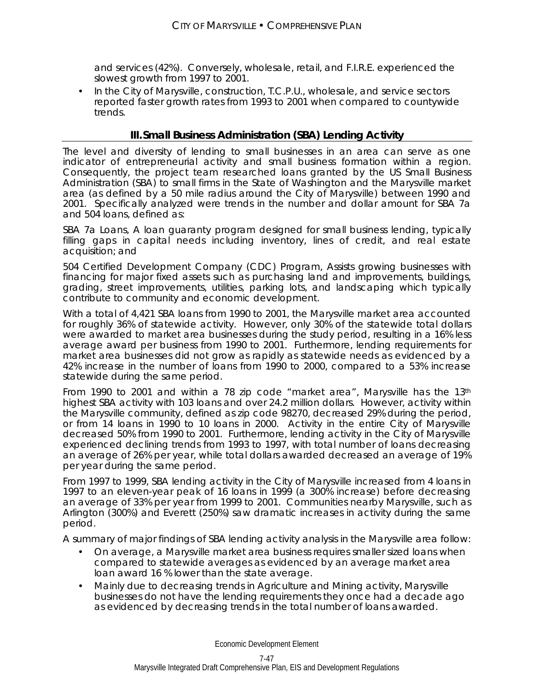and services (42%). Conversely, wholesale, retail, and F.I.R.E. experienced the slowest growth from 1997 to 2001.

 In the City of Marysville, construction, T.C.P.U., wholesale, and service sectors reported faster growth rates from 1993 to 2001 when compared to countywide trends.

# **III. Small Business Administration (SBA) Lending Activity**

The level and diversity of lending to small businesses in an area can serve as one indicator of entrepreneurial activity and small business formation within a region. Consequently, the project team researched loans granted by the US Small Business Administration (SBA) to small firms in the State of Washington and the Marysville market area (as defined by a 50 mile radius around the City of Marysville) between 1990 and 2001. Specifically analyzed were trends in the number and dollar amount for SBA 7a and 504 loans, defined as:

*SBA 7a Loans,* A loan guaranty program designed for small business lending, typically filling gaps in capital needs including inventory, lines of credit, and real estate acquisition; and

*504 Certified Development Company (CDC) Program,* Assists growing businesses with financing for major fixed assets such as purchasing land and improvements, buildings, grading, street improvements, utilities, parking lots, and landscaping which typically contribute to community and economic development.

With a total of 4,421 SBA loans from 1990 to 2001, the Marysville market area accounted for roughly 36% of statewide activity. However, only 30% of the statewide total dollars were awarded to market area businesses during the study period, resulting in a 16% less average award per business from 1990 to 2001. Furthermore, lending requirements for market area businesses did not grow as rapidly as statewide needs as evidenced by a 42% increase in the number of loans from 1990 to 2000, compared to a 53% increase statewide during the same period.

From 1990 to 2001 and within a 78 zip code "market area", Marysville has the 13<sup>th</sup> highest SBA activity with 103 loans and over 24.2 million dollars. However, activity within the Marysville community, defined as zip code 98270, decreased 29% during the period, or from 14 loans in 1990 to 10 loans in 2000. Activity in the entire City of Marysville decreased 50% from 1990 to 2001. Furthermore, lending activity in the City of Marysville experienced declining trends from 1993 to 1997, with total number of loans decreasing an average of 26% per year, while total dollars awarded decreased an average of 19% per year during the same period.

From 1997 to 1999, SBA lending activity in the City of Marysville increased from 4 loans in 1997 to an eleven-year peak of 16 loans in 1999 (a 300% increase) before decreasing an average of 33% per year from 1999 to 2001. Communities nearby Marysville, such as Arlington (300%) and Everett (250%) saw dramatic increases in activity during the same period.

A summary of major findings of SBA lending activity analysis in the Marysville area follow:

- On average, a Marysville market area business requires smaller sized loans when compared to statewide averages as evidenced by an average market area loan award 16 % lower than the state average.
- Mainly due to decreasing trends in Agriculture and Mining activity, Marysville businesses do not have the lending requirements they once had a decade ago as evidenced by decreasing trends in the total number of loans awarded.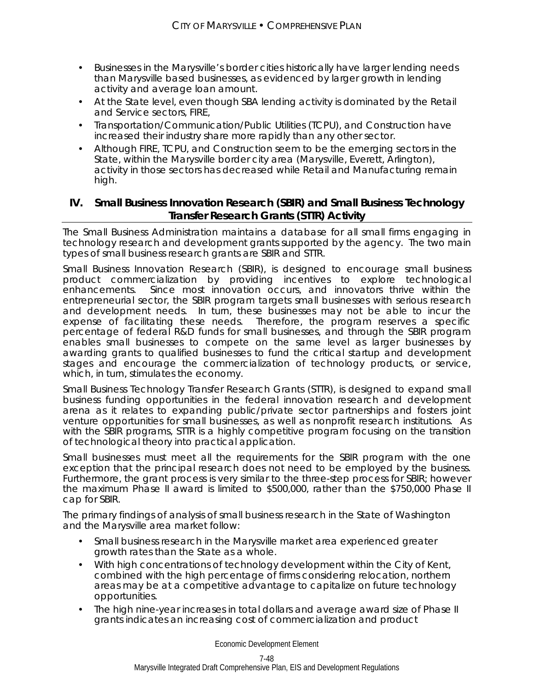- Businesses in the Marysville's border cities historically have larger lending needs than Marysville based businesses, as evidenced by larger growth in lending activity and average loan amount.
- At the State level, even though SBA lending activity is dominated by the Retail and Service sectors, FIRE,
- Transportation/Communication/Public Utilities (TCPU), and Construction have increased their industry share more rapidly than any other sector.
- Although FIRE, TCPU, and Construction seem to be the emerging sectors in the State, within the Marysville border city area (Marysville, Everett, Arlington), activity in those sectors has decreased while Retail and Manufacturing remain high.

### **IV. Small Business Innovation Research (SBIR) and Small Business Technology Transfer Research Grants (STTR) Activity**

The Small Business Administration maintains a database for all small firms engaging in technology research and development grants supported by the agency. The two main types of small business research grants are SBIR and STTR.

*Small Business Innovation Research (SBIR),* is designed to encourage small business product commercialization by providing incentives to explore technological enhancements. Since most innovation occurs, and innovators thrive within the entrepreneurial sector, the SBIR program targets small businesses with serious research and development needs. In turn, these businesses may not be able to incur the expense of facilitating these needs. Therefore, the program reserves a specific percentage of federal R&D funds for small businesses, and through the SBIR program enables small businesses to compete on the same level as larger businesses by awarding grants to qualified businesses to fund the critical startup and development stages and encourage the commercialization of technology products, or service, which, in turn, stimulates the economy.

*Small Business Technology Transfer Research Grants (STTR),* is designed to expand small business funding opportunities in the federal innovation research and development arena as it relates to expanding public/private sector partnerships and fosters joint venture opportunities for small businesses, as well as nonprofit research institutions. As with the SBIR programs, STTR is a highly competitive program focusing on the transition of technological theory into practical application.

Small businesses must meet all the requirements for the SBIR program with the one exception that the principal research does not need to be employed by the business. Furthermore, the grant process is very similar to the three-step process for SBIR; however the maximum Phase II award is limited to \$500,000, rather than the \$750,000 Phase II cap for SBIR.

The primary findings of analysis of small business research in the State of Washington and the Marysville area market follow:

- Small business research in the Marysville market area experienced greater growth rates than the State as a whole.
- With high concentrations of technology development within the City of Kent, combined with the high percentage of firms considering relocation, northern areas may be at a competitive advantage to capitalize on future technology opportunities.
- The high nine-year increases in total dollars and average award size of Phase II grants indicates an increasing cost of commercialization and product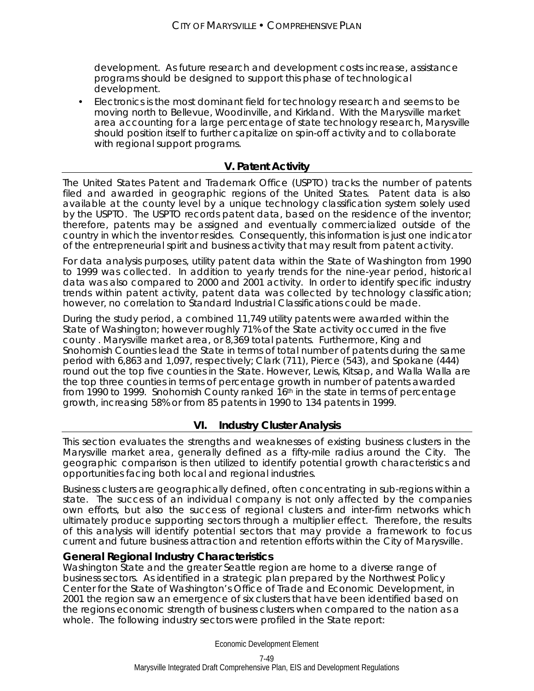development. As future research and development costs increase, assistance programs should be designed to support this phase of technological development.

 Electronics is the most dominant field for technology research and seems to be moving north to Bellevue, Woodinville, and Kirkland. With the Marysville market area accounting for a large percentage of state technology research, Marysville should position itself to further capitalize on spin-off activity and to collaborate with regional support programs.

### **V. Patent Activity**

The United States Patent and Trademark Office (USPTO) tracks the number of patents filed and awarded in geographic regions of the United States. Patent data is also available at the county level by a unique technology classification system solely used by the USPTO. The USPTO records patent data, based on the residence of the inventor; therefore, patents may be assigned and eventually commercialized outside of the country in which the inventor resides. Consequently, this information is just one indicator of the entrepreneurial spirit and business activity that may result from patent activity.

For data analysis purposes, utility patent data within the State of Washington from 1990 to 1999 was collected. In addition to yearly trends for the nine-year period, historical data was also compared to 2000 and 2001 activity. In order to identify specific industry trends within patent activity, patent data was collected by technology classification; however, no correlation to Standard Industrial Classifications could be made.

During the study period, a combined 11,749 utility patents were awarded within the State of Washington; however roughly 71% of the State activity occurred in the five county . Marysville market area, or 8,369 total patents. Furthermore, King and Snohomish Counties lead the State in terms of total number of patents during the same period with 6,863 and 1,097, respectively; Clark (711), Pierce (543), and Spokane (444) round out the top five counties in the State. However, Lewis, Kitsap, and Walla Walla are the top three counties in terms of percentage growth in number of patents awarded from 1990 to 1999. Snohomish County ranked 16th in the state in terms of percentage growth, increasing 58% or from 85 patents in 1990 to 134 patents in 1999.

### **VI. Industry Cluster Analysis**

This section evaluates the strengths and weaknesses of existing business clusters in the Marysville market area, generally defined as a fifty-mile radius around the City. The geographic comparison is then utilized to identify potential growth characteristics and opportunities facing both local and regional industries.

Business clusters are geographically defined, often concentrating in sub-regions within a state. The success of an individual company is not only affected by the companies own efforts, but also the success of regional clusters and inter-firm networks which ultimately produce supporting sectors through a multiplier effect. Therefore, the results of this analysis will identify potential sectors that may provide a framework to focus current and future business attraction and retention efforts within the City of Marysville.

### **General Regional Industry Characteristics**

Washington State and the greater Seattle region are home to a diverse range of business sectors. As identified in a strategic plan prepared by the Northwest Policy Center for the State of Washington's Office of Trade and Economic Development, in 2001 the region saw an emergence of six clusters that have been identified based on the regions economic strength of business clusters when compared to the nation as a whole. The following industry sectors were profiled in the State report: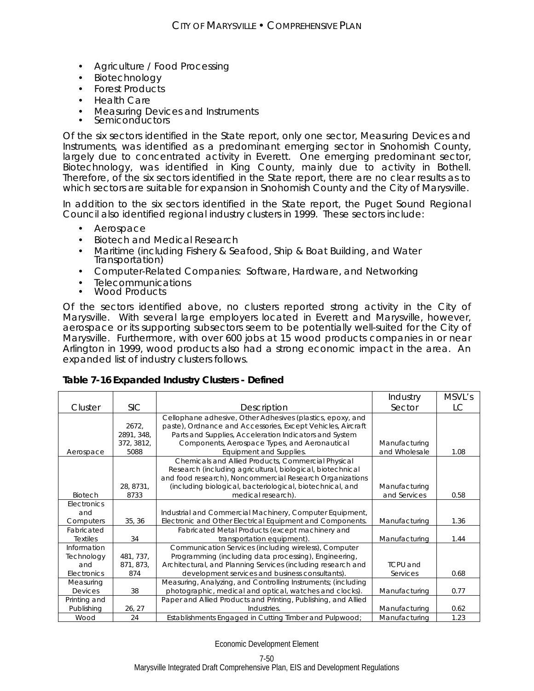- Agriculture / Food Processing
- Biotechnology
- Forest Products
- Health Care
- Measuring Devices and Instruments Semiconductors
- 

Of the six sectors identified in the State report, only one sector, Measuring Devices and Instruments, was identified as a predominant emerging sector in Snohomish County, largely due to concentrated activity in Everett. One emerging predominant sector, Biotechnology, was identified in King County, mainly due to activity in Bothell. Therefore, of the six sectors identified in the State report, there are no clear results as to which sectors are suitable for expansion in Snohomish County and the City of Marysville.

In addition to the six sectors identified in the State report, the Puget Sound Regional Council also identified regional industry clusters in 1999. These sectors include:

- Aerospace
- Biotech and Medical Research
- Maritime (including Fishery & Seafood, Ship & Boat Building, and Water Transportation)
- Computer-Related Companies: Software, Hardware, and Networking
- Telecommunications<br>• Wood Products
- 

Of the sectors identified above, no clusters reported strong activity in the City of Marysville. With several large employers located in Everett and Marysville, however, aerospace or its supporting subsectors seem to be potentially well-suited for the City of Marysville. Furthermore, with over 600 jobs at 15 wood products companies in or near Arlington in 1999, wood products also had a strong economic impact in the area. An expanded list of industry clusters follows.

### **Table 7-16 Expanded Industry Clusters - Defined**

|                 |            |                                                                | Industry        | MSVL's |
|-----------------|------------|----------------------------------------------------------------|-----------------|--------|
| Cluster         | <b>SIC</b> | Description                                                    | Sector          | LC     |
|                 |            | Cellophane adhesive, Other Adhesives (plastics, epoxy, and     |                 |        |
|                 | 2672,      | paste), Ordnance and Accessories, Except Vehicles, Aircraft    |                 |        |
|                 | 2891, 348, | Parts and Supplies, Acceleration Indicators and System         |                 |        |
|                 | 372, 3812, | Components, Aerospace Types, and Aeronautical                  | Manufacturing   |        |
| Aerospace       | 5088       | Equipment and Supplies.                                        | and Wholesale   | 1.08   |
|                 |            | Chemicals and Allied Products, Commercial Physical             |                 |        |
|                 |            | Research (including agricultural, biological, biotechnical     |                 |        |
|                 |            | and food research), Noncommercial Research Organizations       |                 |        |
|                 | 28, 8731,  | (including biological, bacteriological, biotechnical, and      | Manufacturing   |        |
| Biotech         | 8733       | medical research).                                             | and Services    | 0.58   |
| Electronics     |            |                                                                |                 |        |
| and             |            | Industrial and Commercial Machinery, Computer Equipment,       |                 |        |
| Computers       | 35, 36     | Electronic and Other Electrical Equipment and Components.      | Manufacturing   | 1.36   |
| Fabricated      |            | Fabricated Metal Products (except machinery and                |                 |        |
| <b>Textiles</b> | 34         | transportation equipment).                                     | Manufacturing   | 1.44   |
| Information     |            | Communication Services (including wireless), Computer          |                 |        |
| Technology      | 481, 737,  | Programming (including data processing), Engineering,          |                 |        |
| and             | 871, 873,  | Architectural, and Planning Services (including research and   | <b>TCPU</b> and |        |
| Electronics     | 874        | development services and business consultants).                | Services        | 0.68   |
| Measuring       |            | Measuring, Analyzing, and Controlling Instruments; (including  |                 |        |
| Devices         | 38         | photographic, medical and optical, watches and clocks).        | Manufacturing   | 0.77   |
| Printing and    |            | Paper and Allied Products and Printing, Publishing, and Allied |                 |        |
| Publishing      | 26, 27     | Industries.                                                    | Manufacturing   | 0.62   |
| Wood            | 24         | Establishments Engaged in Cutting Timber and Pulpwood;         | Manufacturing   | 1.23   |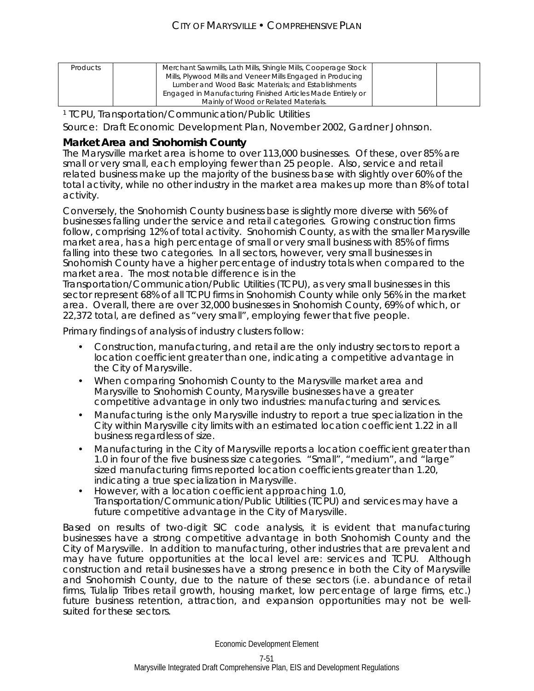| <b>Products</b> | Merchant Sawmills, Lath Mills, Shingle Mills, Cooperage Stock<br>Mills, Plywood Mills and Veneer Mills Engaged in Producing |  |
|-----------------|-----------------------------------------------------------------------------------------------------------------------------|--|
|                 | Lumber and Wood Basic Materials; and Establishments                                                                         |  |
|                 | Engaged in Manufacturing Finished Articles Made Entirely or                                                                 |  |
|                 | Mainly of Wood or Related Materials.                                                                                        |  |

1 TCPU, Transportation/Communication/Public Utilities

Source: Draft Economic Development Plan, November 2002, Gardner Johnson.

### **Market Area and Snohomish County**

The Marysville market area is home to over 113,000 businesses. Of these, over 85% are small or very small, each employing fewer than 25 people. Also, service and retail related business make up the majority of the business base with slightly over 60% of the total activity, while no other industry in the market area makes up more than 8% of total activity.

Conversely, the Snohomish County business base is slightly more diverse with 56% of businesses falling under the service and retail categories. Growing construction firms follow, comprising 12% of total activity. Snohomish County, as with the smaller Marysville market area, has a high percentage of small or very small business with 85% of firms falling into these two categories. In all sectors, however, very small businesses in Snohomish County have a higher percentage of industry totals when compared to the market area. The most notable difference is in the

Transportation/Communication/Public Utilities (TCPU), as very small businesses in this sector represent 68% of all TCPU firms in Snohomish County while only 56% in the market area. Overall, there are over 32,000 businesses in Snohomish County, 69% of which, or 22,372 total, are defined as "very small", employing fewer that five people.

Primary findings of analysis of industry clusters follow:

- Construction, manufacturing, and retail are the only industry sectors to report a location coefficient greater than one, indicating a competitive advantage in the City of Marysville.
- When comparing Snohomish County to the Marysville market area and Marysville to Snohomish County, Marysville businesses have a greater competitive advantage in only two industries: manufacturing and services.
- Manufacturing is the only Marysville industry to report a true specialization in the City within Marysville city limits with an estimated location coefficient 1.22 in all business regardless of size.
- Manufacturing in the City of Marysville reports a location coefficient greater than 1.0 in four of the five business size categories. "Small", "medium", and "large" sized manufacturing firms reported location coefficients greater than 1.20, indicating a true specialization in Marysville.
- However, with a location coefficient approaching 1.0, Transportation/Communication/Public Utilities (TCPU) and services may have a future competitive advantage in the City of Marysville.

Based on results of two-digit SIC code analysis, it is evident that manufacturing businesses have a strong competitive advantage in both Snohomish County and the City of Marysville. In addition to manufacturing, other industries that are prevalent and may have future opportunities at the local level are: services and TCPU. Although construction and retail businesses have a strong presence in both the City of Marysville and Snohomish County, due to the nature of these sectors (i.e. abundance of retail firms, Tulalip Tribes retail growth, housing market, low percentage of large firms, etc.) future business retention, attraction, and expansion opportunities may not be wellsuited for these sectors.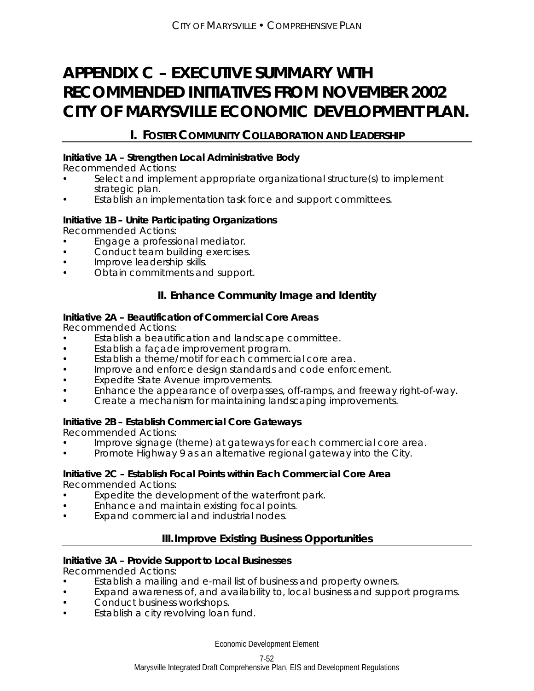# **APPENDIX C – EXECUTIVE SUMMARY WITH RECOMMENDED INITIATIVES FROM NOVEMBER 2002 CITY OF MARYSVILLE ECONOMIC DEVELOPMENT PLAN.**

# **I. FOSTER COMMUNITY COLLABORATION AND LEADERSHIP**

### **Initiative 1A – Strengthen Local Administrative Body**

Recommended Actions:

- Select and implement appropriate organizational structure(s) to implement strategic plan.
- Establish an implementation task force and support committees.

### **Initiative 1B – Unite Participating Organizations**

Recommended Actions:

- Engage a professional mediator.
- Conduct team building exercises.
- Improve leadership skills.
- Obtain commitments and support.

# **II. Enhance Community Image and Identity**

### **Initiative 2A – Beautification of Commercial Core Areas**

Recommended Actions:

- Establish a beautification and landscape committee.
- Establish a façade improvement program.
- Establish a theme/motif for each commercial core area.
- **Improve and enforce design standards and code enforcement.**
- Expedite State Avenue improvements.
- Enhance the appearance of overpasses, off-ramps, and freeway right-of-way.
- Create a mechanism for maintaining landscaping improvements.

### **Initiative 2B – Establish Commercial Core Gateways**

Recommended Actions:

- Improve signage (theme) at gateways for each commercial core area.
- Promote Highway 9 as an alternative regional gateway into the City.

# **Initiative 2C – Establish Focal Points within Each Commercial Core Area**

Recommended Actions:

- Expedite the development of the waterfront park.
- Enhance and maintain existing focal points.
- Expand commercial and industrial nodes.

# **III. Improve Existing Business Opportunities**

### **Initiative 3A – Provide Support to Local Businesses**

Recommended Actions:

- Establish a mailing and e-mail list of business and property owners.
- Expand awareness of, and availability to, local business and support programs.
- Conduct business workshops.
- Establish a city revolving loan fund.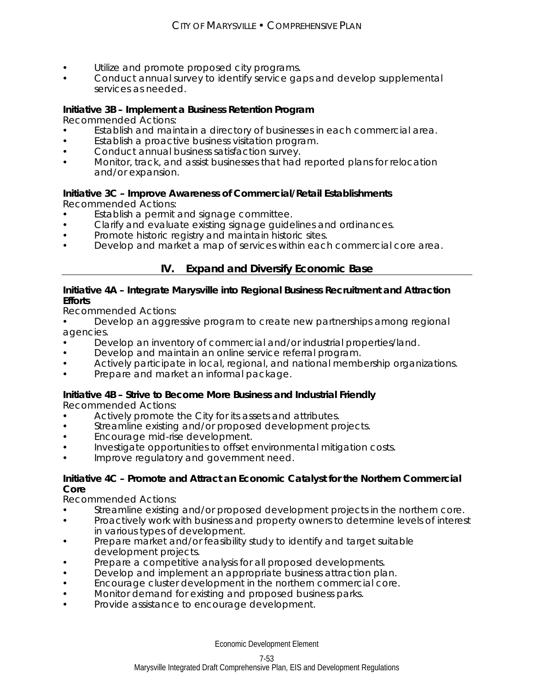- Utilize and promote proposed city programs.
- Conduct annual survey to identify service gaps and develop supplemental services as needed.

### **Initiative 3B – Implement a Business Retention Program**

Recommended Actions:

- Establish and maintain a directory of businesses in each commercial area.
- Establish a proactive business visitation program.
- Conduct annual business satisfaction survey.
- Monitor, track, and assist businesses that had reported plans for relocation and/or expansion.

### **Initiative 3C – Improve Awareness of Commercial/Retail Establishments**

Recommended Actions:

- Establish a permit and signage committee.
- Clarify and evaluate existing signage guidelines and ordinances.
- Promote historic registry and maintain historic sites.
- Develop and market a map of services within each commercial core area.

# **IV. Expand and Diversify Economic Base**

### **Initiative 4A – Integrate Marysville into Regional Business Recruitment and Attraction Efforts**

Recommended Actions:

- Develop an aggressive program to create new partnerships among regional agencies.
- Develop an inventory of commercial and/or industrial properties/land.
- Develop and maintain an online service referral program.
- Actively participate in local, regional, and national membership organizations.
- Prepare and market an informal package.

### **Initiative 4B – Strive to Become More Business and Industrial Friendly**

Recommended Actions:

- Actively promote the City for its assets and attributes.
- Streamline existing and/or proposed development projects.
- **Encourage mid-rise development.**
- Investigate opportunities to offset environmental mitigation costs.
- Improve regulatory and government need.

### **Initiative 4C – Promote and Attract an Economic Catalyst for the Northern Commercial Core**

Recommended Actions:

- Streamline existing and/or proposed development projects in the northern core.
- Proactively work with business and property owners to determine levels of interest in various types of development.
- Prepare market and/or feasibility study to identify and target suitable development projects.
- **•** Prepare a competitive analysis for all proposed developments.
- Develop and implement an appropriate business attraction plan.
- Encourage cluster development in the northern commercial core.
- Monitor demand for existing and proposed business parks.
- Provide assistance to encourage development.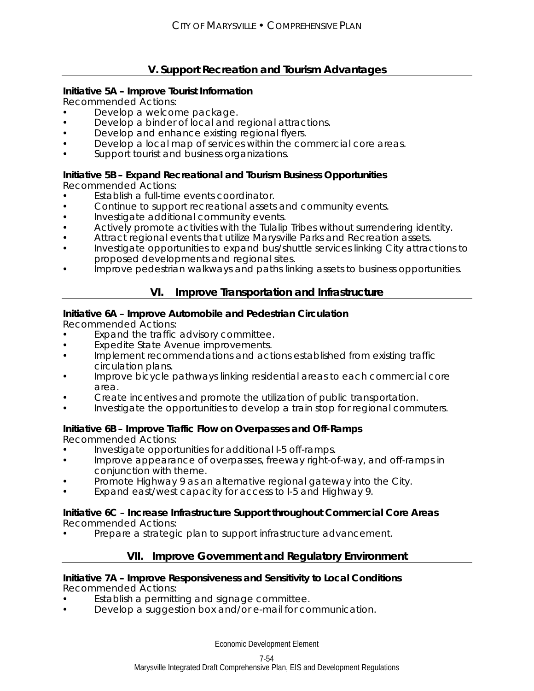# **V. Support Recreation and Tourism Advantages**

### **Initiative 5A – Improve Tourist Information**

Recommended Actions:

- Develop a welcome package.
- Develop a binder of local and regional attractions.
- Develop and enhance existing regional flyers.
- Develop a local map of services within the commercial core areas.
- Support tourist and business organizations.

# **Initiative 5B – Expand Recreational and Tourism Business Opportunities**

Recommended Actions:

- Establish a full-time events coordinator.
- Continue to support recreational assets and community events.
- **Investigate additional community events.**
- Actively promote activities with the Tulalip Tribes without surrendering identity.
- Attract regional events that utilize Marysville Parks and Recreation assets.
- Investigate opportunities to expand bus/shuttle services linking City attractions to proposed developments and regional sites.
- Improve pedestrian walkways and paths linking assets to business opportunities.

# **VI. Improve Transportation and Infrastructure**

### **Initiative 6A – Improve Automobile and Pedestrian Circulation**

Recommended Actions:

- Expand the traffic advisory committee.
- Expedite State Avenue improvements.
- Implement recommendations and actions established from existing traffic circulation plans.
- Improve bicycle pathways linking residential areas to each commercial core area.
- Create incentives and promote the utilization of public transportation.
- Investigate the opportunities to develop a train stop for regional commuters.

# **Initiative 6B – Improve Traffic Flow on Overpasses and Off-Ramps**

Recommended Actions:

- Investigate opportunities for additional I-5 off-ramps.
- Improve appearance of overpasses, freeway right-of-way, and off-ramps in conjunction with theme.
- Promote Highway 9 as an alternative regional gateway into the City.
- Expand east/west capacity for access to I-5 and Highway 9.

### **Initiative 6C – Increase Infrastructure Support throughout Commercial Core Areas**  Recommended Actions:

Prepare a strategic plan to support infrastructure advancement.

# **VII. Improve Government and Regulatory Environment**

### **Initiative 7A – Improve Responsiveness and Sensitivity to Local Conditions**  Recommended Actions:

- Establish a permitting and signage committee.
- Develop a suggestion box and/or e-mail for communication.